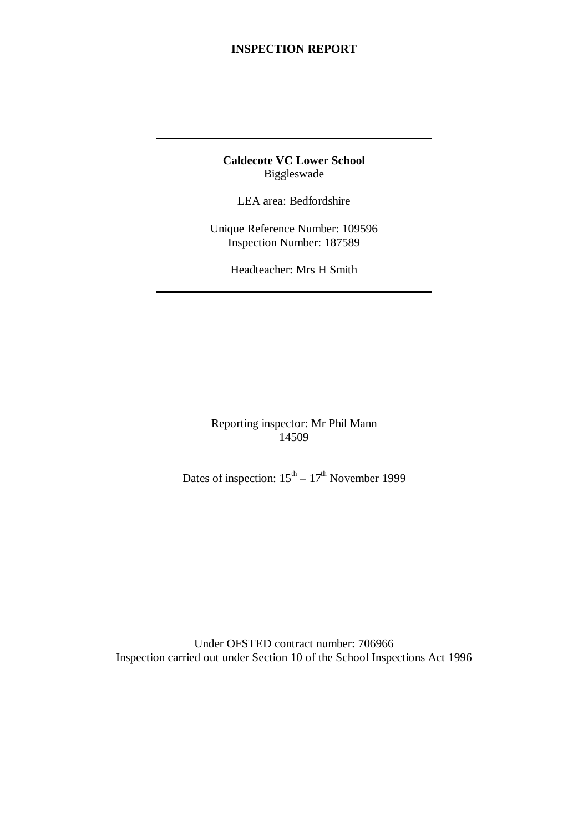#### **INSPECTION REPORT**

#### **Caldecote VC Lower School** Biggleswade

LEA area: Bedfordshire

Unique Reference Number: 109596 Inspection Number: 187589

Headteacher: Mrs H Smith

Reporting inspector: Mr Phil Mann 14509

Dates of inspection:  $15<sup>th</sup> - 17<sup>th</sup>$  November 1999

Under OFSTED contract number: 706966 Inspection carried out under Section 10 of the School Inspections Act 1996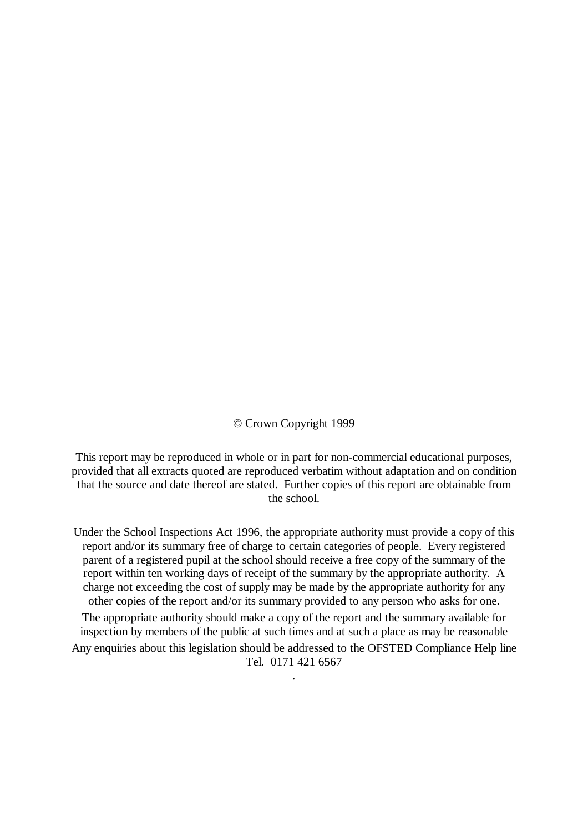© Crown Copyright 1999

This report may be reproduced in whole or in part for non-commercial educational purposes, provided that all extracts quoted are reproduced verbatim without adaptation and on condition that the source and date thereof are stated. Further copies of this report are obtainable from the school.

Under the School Inspections Act 1996, the appropriate authority must provide a copy of this report and/or its summary free of charge to certain categories of people. Every registered parent of a registered pupil at the school should receive a free copy of the summary of the report within ten working days of receipt of the summary by the appropriate authority. A charge not exceeding the cost of supply may be made by the appropriate authority for any other copies of the report and/or its summary provided to any person who asks for one.

The appropriate authority should make a copy of the report and the summary available for inspection by members of the public at such times and at such a place as may be reasonable Any enquiries about this legislation should be addressed to the OFSTED Compliance Help line Tel. 0171 421 6567

.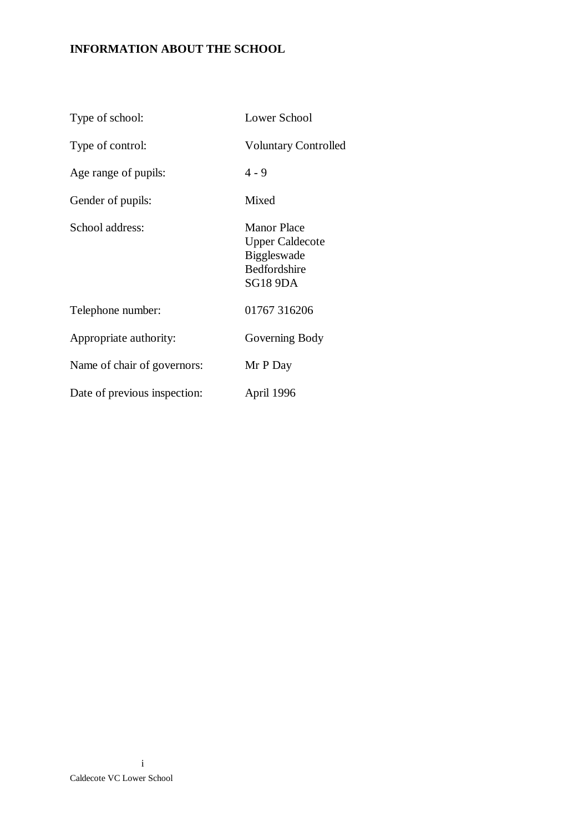# **INFORMATION ABOUT THE SCHOOL**

| Type of school:              | Lower School                                                                                          |
|------------------------------|-------------------------------------------------------------------------------------------------------|
| Type of control:             | <b>Voluntary Controlled</b>                                                                           |
| Age range of pupils:         | $4 - 9$                                                                                               |
| Gender of pupils:            | Mixed                                                                                                 |
| School address:              | <b>Manor Place</b><br><b>Upper Caldecote</b><br><b>Biggleswade</b><br>Bedfordshire<br><b>SG18 9DA</b> |
| Telephone number:            | 01767 316206                                                                                          |
| Appropriate authority:       | Governing Body                                                                                        |
| Name of chair of governors:  | Mr P Day                                                                                              |
| Date of previous inspection: | April 1996                                                                                            |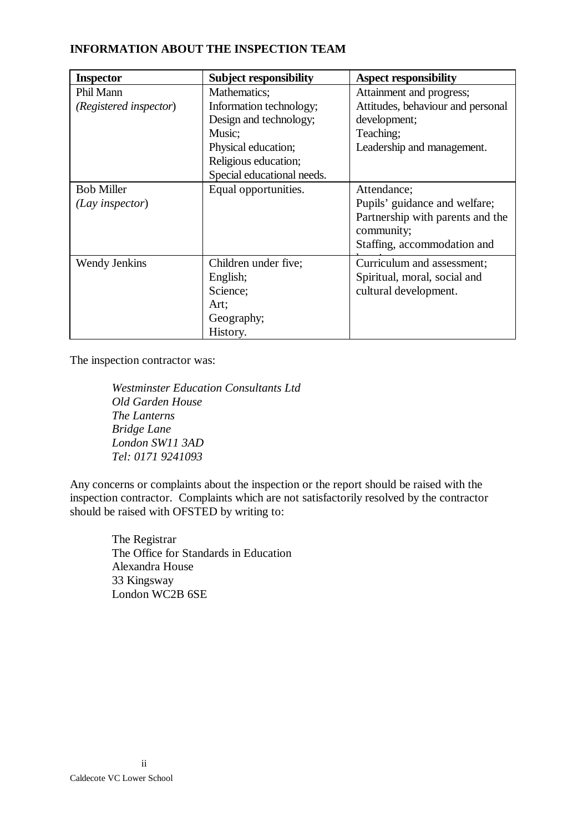#### **INFORMATION ABOUT THE INSPECTION TEAM**

| <b>Inspector</b>       | <b>Subject responsibility</b> | <b>Aspect responsibility</b>      |
|------------------------|-------------------------------|-----------------------------------|
| Phil Mann              | Mathematics;                  | Attainment and progress;          |
| (Registered inspector) | Information technology;       | Attitudes, behaviour and personal |
|                        | Design and technology;        | development;                      |
|                        | Music;                        | Teaching;                         |
|                        | Physical education;           | Leadership and management.        |
|                        | Religious education;          |                                   |
|                        | Special educational needs.    |                                   |
| <b>Bob Miller</b>      | Equal opportunities.          | Attendance;                       |
| (Lay inspector)        |                               | Pupils' guidance and welfare;     |
|                        |                               | Partnership with parents and the  |
|                        |                               | community;                        |
|                        |                               | Staffing, accommodation and       |
| Wendy Jenkins          | Children under five;          | Curriculum and assessment;        |
|                        | English;                      | Spiritual, moral, social and      |
|                        | Science;                      | cultural development.             |
|                        | Art;                          |                                   |
|                        | Geography;                    |                                   |
|                        | History.                      |                                   |

The inspection contractor was:

*Westminster Education Consultants Ltd Old Garden House The Lanterns Bridge Lane London SW11 3AD Tel: 0171 9241093*

Any concerns or complaints about the inspection or the report should be raised with the inspection contractor. Complaints which are not satisfactorily resolved by the contractor should be raised with OFSTED by writing to:

> The Registrar The Office for Standards in Education Alexandra House 33 Kingsway London WC2B 6SE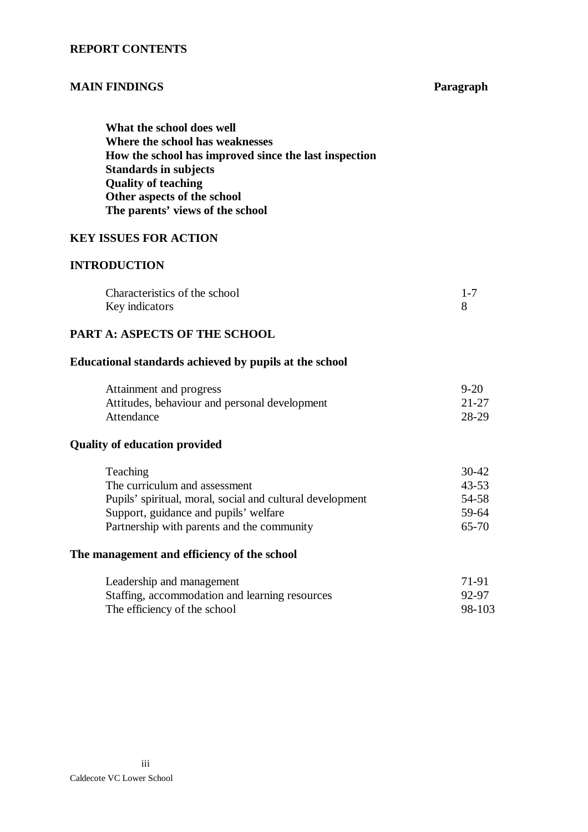#### **REPORT CONTENTS**

#### **MAIN FINDINGS Paragraph**

**What the school does well Where the school has weaknesses How the school has improved since the last inspection Standards in subjects Quality of teaching Other aspects of the school The parents' views of the school**

#### **KEY ISSUES FOR ACTION**

#### **INTRODUCTION**

| Characteristics of the school |  |
|-------------------------------|--|
| Key indicators                |  |

#### **PART A: ASPECTS OF THE SCHOOL**

#### **Educational standards achieved by pupils at the school**

| Attainment and progress                       | $9 - 20$ |
|-----------------------------------------------|----------|
| Attitudes, behaviour and personal development | 21-27    |
| Attendance                                    | 28-29    |

#### **Quality of education provided**

| Teaching                                                  | 30-42 |
|-----------------------------------------------------------|-------|
| The curriculum and assessment                             | 43-53 |
| Pupils' spiritual, moral, social and cultural development | 54-58 |
| Support, guidance and pupils' welfare                     | 59-64 |
| Partnership with parents and the community                | 65-70 |

#### **The management and efficiency of the school**

| Leadership and management                      | 71-91  |
|------------------------------------------------|--------|
| Staffing, accommodation and learning resources | 92-97  |
| The efficiency of the school                   | 98-103 |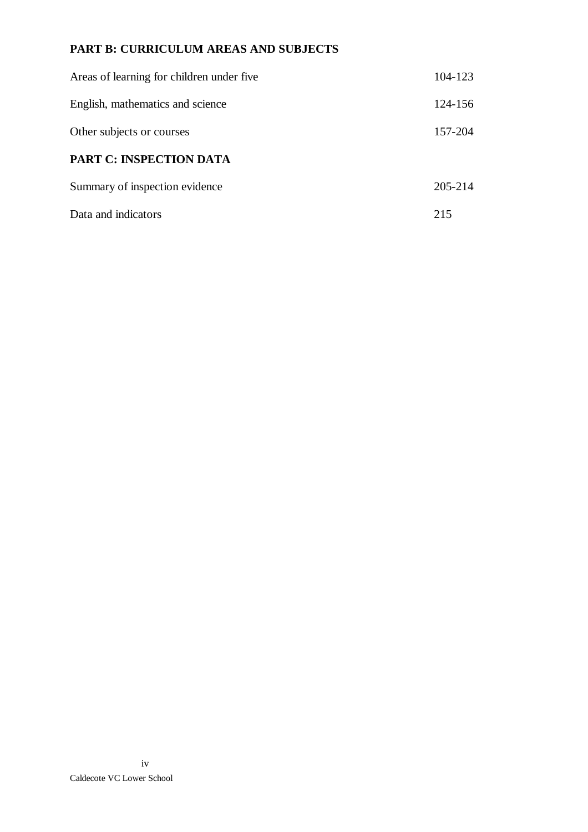# **PART B: CURRICULUM AREAS AND SUBJECTS**

| Areas of learning for children under five | 104-123 |
|-------------------------------------------|---------|
| English, mathematics and science          | 124-156 |
| Other subjects or courses                 | 157-204 |
| <b>PART C: INSPECTION DATA</b>            |         |
| Summary of inspection evidence            | 205-214 |
| Data and indicators                       | 215     |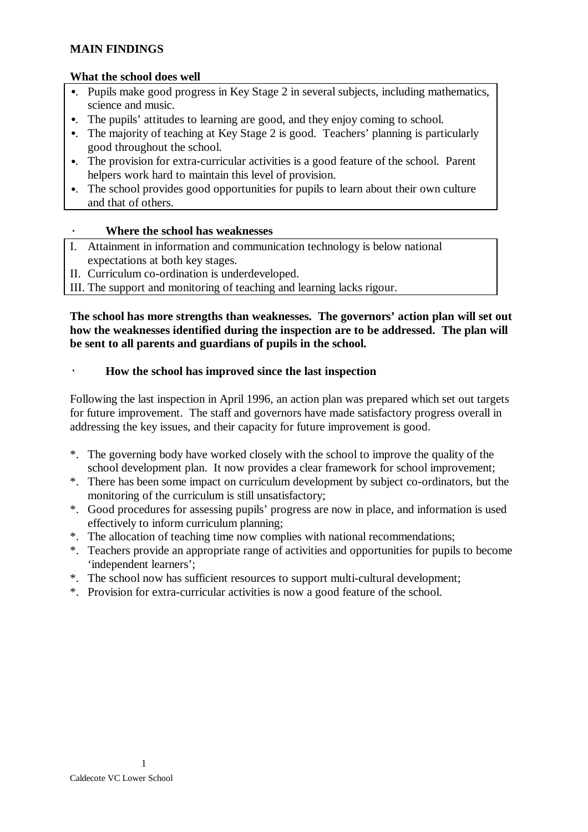#### **MAIN FINDINGS**

#### **What the school does well**

- •. Pupils make good progress in Key Stage 2 in several subjects, including mathematics, science and music.
- •. The pupils' attitudes to learning are good, and they enjoy coming to school.
- •. The majority of teaching at Key Stage 2 is good. Teachers' planning is particularly good throughout the school.
- •. The provision for extra-curricular activities is a good feature of the school. Parent helpers work hard to maintain this level of provision.
- •. The school provides good opportunities for pupils to learn about their own culture and that of others.

#### · **Where the school has weaknesses**

- I. Attainment in information and communication technology is below national expectations at both key stages.
- II. Curriculum co-ordination is underdeveloped.
- III. The support and monitoring of teaching and learning lacks rigour.

#### **The school has more strengths than weaknesses. The governors' action plan will set out how the weaknesses identified during the inspection are to be addressed. The plan will be sent to all parents and guardians of pupils in the school.**

#### · **How the school has improved since the last inspection**

Following the last inspection in April 1996, an action plan was prepared which set out targets for future improvement. The staff and governors have made satisfactory progress overall in addressing the key issues, and their capacity for future improvement is good.

- \*. The governing body have worked closely with the school to improve the quality of the school development plan. It now provides a clear framework for school improvement;
- \*. There has been some impact on curriculum development by subject co-ordinators, but the monitoring of the curriculum is still unsatisfactory;
- \*. Good procedures for assessing pupils' progress are now in place, and information is used effectively to inform curriculum planning;
- \*. The allocation of teaching time now complies with national recommendations;
- \*. Teachers provide an appropriate range of activities and opportunities for pupils to become 'independent learners';
- \*. The school now has sufficient resources to support multi-cultural development;
- \*. Provision for extra-curricular activities is now a good feature of the school.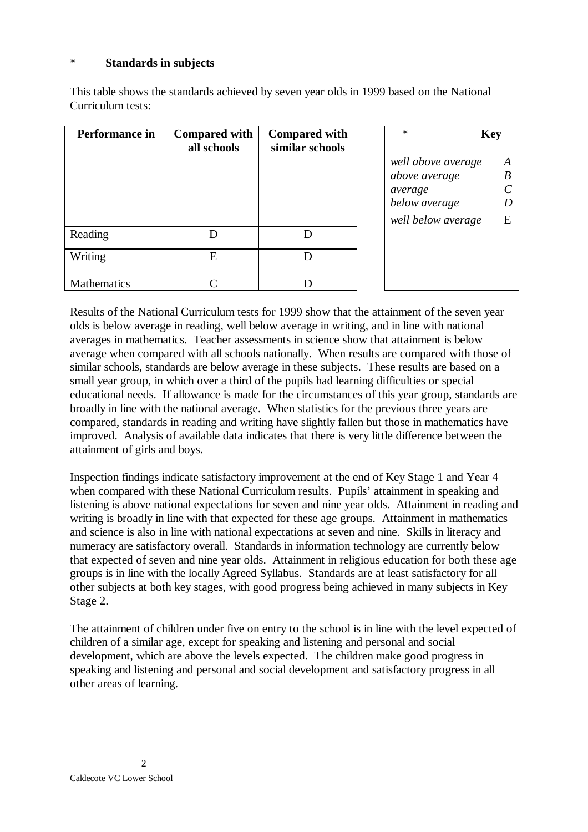#### \* **Standards in subjects**

This table shows the standards achieved by seven year olds in 1999 based on the National Curriculum tests:

| Performance in     | <b>Compared with</b><br>all schools | <b>Compared with</b><br>similar schools | $\ast$                                                                                | <b>Key</b>                                      |
|--------------------|-------------------------------------|-----------------------------------------|---------------------------------------------------------------------------------------|-------------------------------------------------|
|                    |                                     |                                         | well above average<br>above average<br>average<br>below average<br>well below average | A<br>$\boldsymbol{B}$<br>$\mathcal C$<br>D<br>E |
| Reading            |                                     |                                         |                                                                                       |                                                 |
| Writing            | E                                   |                                         |                                                                                       |                                                 |
| <b>Mathematics</b> |                                     |                                         |                                                                                       |                                                 |

Results of the National Curriculum tests for 1999 show that the attainment of the seven year olds is below average in reading, well below average in writing, and in line with national averages in mathematics. Teacher assessments in science show that attainment is below average when compared with all schools nationally. When results are compared with those of similar schools, standards are below average in these subjects. These results are based on a small year group, in which over a third of the pupils had learning difficulties or special educational needs. If allowance is made for the circumstances of this year group, standards are broadly in line with the national average. When statistics for the previous three years are compared, standards in reading and writing have slightly fallen but those in mathematics have improved. Analysis of available data indicates that there is very little difference between the attainment of girls and boys.

Inspection findings indicate satisfactory improvement at the end of Key Stage 1 and Year 4 when compared with these National Curriculum results. Pupils' attainment in speaking and listening is above national expectations for seven and nine year olds. Attainment in reading and writing is broadly in line with that expected for these age groups. Attainment in mathematics and science is also in line with national expectations at seven and nine. Skills in literacy and numeracy are satisfactory overall. Standards in information technology are currently below that expected of seven and nine year olds. Attainment in religious education for both these age groups is in line with the locally Agreed Syllabus. Standards are at least satisfactory for all other subjects at both key stages, with good progress being achieved in many subjects in Key Stage 2.

The attainment of children under five on entry to the school is in line with the level expected of children of a similar age, except for speaking and listening and personal and social development, which are above the levels expected. The children make good progress in speaking and listening and personal and social development and satisfactory progress in all other areas of learning.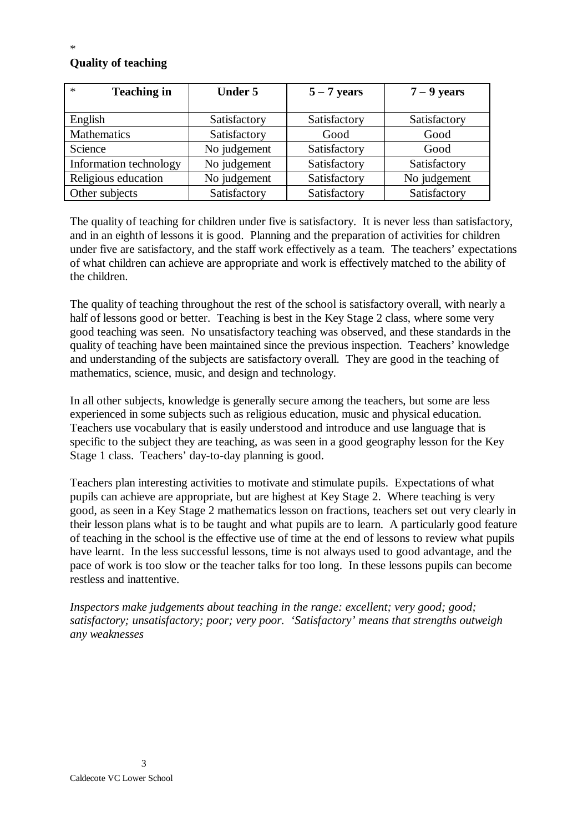### **Quality of teaching**

| $\ast$<br><b>Teaching in</b> | <b>Under 5</b> | $5 - 7$ years | $7 - 9$ years |
|------------------------------|----------------|---------------|---------------|
| English                      | Satisfactory   | Satisfactory  | Satisfactory  |
| Mathematics                  | Satisfactory   | Good          | Good          |
| Science                      | No judgement   | Satisfactory  | Good          |
| Information technology       | No judgement   | Satisfactory  | Satisfactory  |
| Religious education          | No judgement   | Satisfactory  | No judgement  |
| Other subjects               | Satisfactory   | Satisfactory  | Satisfactory  |

The quality of teaching for children under five is satisfactory. It is never less than satisfactory, and in an eighth of lessons it is good. Planning and the preparation of activities for children under five are satisfactory, and the staff work effectively as a team. The teachers' expectations of what children can achieve are appropriate and work is effectively matched to the ability of the children.

The quality of teaching throughout the rest of the school is satisfactory overall, with nearly a half of lessons good or better. Teaching is best in the Key Stage 2 class, where some very good teaching was seen. No unsatisfactory teaching was observed, and these standards in the quality of teaching have been maintained since the previous inspection. Teachers' knowledge and understanding of the subjects are satisfactory overall. They are good in the teaching of mathematics, science, music, and design and technology.

In all other subjects, knowledge is generally secure among the teachers, but some are less experienced in some subjects such as religious education, music and physical education. Teachers use vocabulary that is easily understood and introduce and use language that is specific to the subject they are teaching, as was seen in a good geography lesson for the Key Stage 1 class. Teachers' day-to-day planning is good.

Teachers plan interesting activities to motivate and stimulate pupils. Expectations of what pupils can achieve are appropriate, but are highest at Key Stage 2. Where teaching is very good, as seen in a Key Stage 2 mathematics lesson on fractions, teachers set out very clearly in their lesson plans what is to be taught and what pupils are to learn. A particularly good feature of teaching in the school is the effective use of time at the end of lessons to review what pupils have learnt. In the less successful lessons, time is not always used to good advantage, and the pace of work is too slow or the teacher talks for too long. In these lessons pupils can become restless and inattentive.

*Inspectors make judgements about teaching in the range: excellent; very good; good; satisfactory; unsatisfactory; poor; very poor. 'Satisfactory' means that strengths outweigh any weaknesses*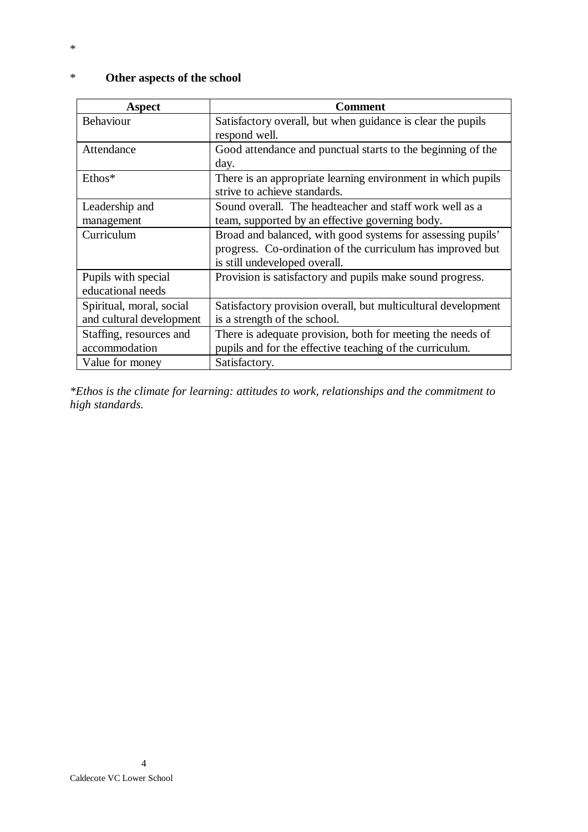| <b>Aspect</b>                            | Comment                                                                                      |
|------------------------------------------|----------------------------------------------------------------------------------------------|
| Behaviour                                | Satisfactory overall, but when guidance is clear the pupils<br>respond well.                 |
| Attendance                               | Good attendance and punctual starts to the beginning of the<br>day.                          |
| $Ethos*$                                 | There is an appropriate learning environment in which pupils<br>strive to achieve standards. |
| Leadership and                           | Sound overall. The headteacher and staff work well as a                                      |
| management                               | team, supported by an effective governing body.                                              |
| Curriculum                               | Broad and balanced, with good systems for assessing pupils'                                  |
|                                          | progress. Co-ordination of the curriculum has improved but                                   |
|                                          | is still undeveloped overall.                                                                |
| Pupils with special<br>educational needs | Provision is satisfactory and pupils make sound progress.                                    |
| Spiritual, moral, social                 | Satisfactory provision overall, but multicultural development                                |
| and cultural development                 | is a strength of the school.                                                                 |
| Staffing, resources and                  | There is adequate provision, both for meeting the needs of                                   |
| accommodation                            | pupils and for the effective teaching of the curriculum.                                     |
| Value for money                          | Satisfactory.                                                                                |

# \* **Other aspects of the school**

*\*Ethos is the climate for learning: attitudes to work, relationships and the commitment to high standards.*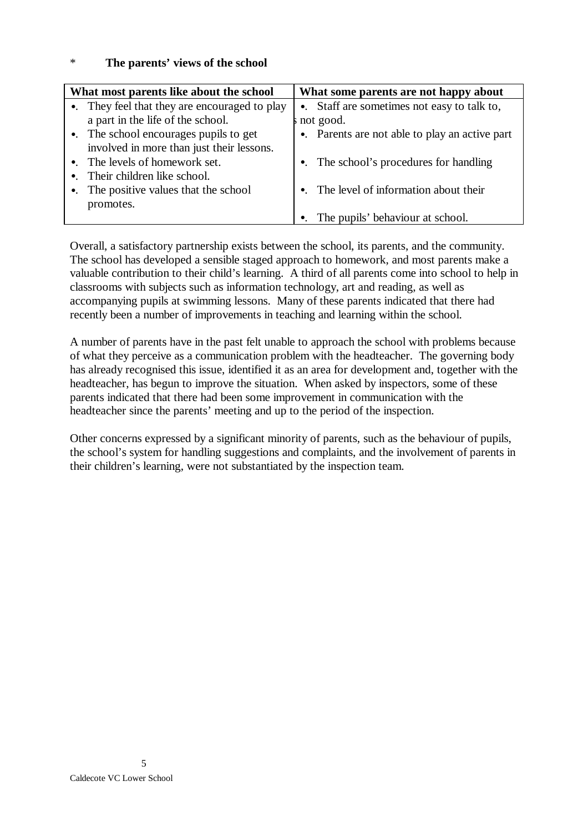#### \* **The parents' views of the school**

| What most parents like about the school |                                               | What some parents are not happy about |                                                |
|-----------------------------------------|-----------------------------------------------|---------------------------------------|------------------------------------------------|
|                                         | •. They feel that they are encouraged to play |                                       | •. Staff are sometimes not easy to talk to,    |
|                                         | a part in the life of the school.             |                                       | not good.                                      |
|                                         | •. The school encourages pupils to get        |                                       | •. Parents are not able to play an active part |
|                                         | involved in more than just their lessons.     |                                       |                                                |
|                                         | •. The levels of homework set.                |                                       | •. The school's procedures for handling        |
|                                         | $\bullet$ . Their children like school.       |                                       |                                                |
|                                         | •. The positive values that the school        |                                       | •. The level of information about their        |
|                                         | promotes.                                     |                                       |                                                |
|                                         |                                               | $\bullet$ .                           | The pupils' behaviour at school.               |

Overall, a satisfactory partnership exists between the school, its parents, and the community. The school has developed a sensible staged approach to homework, and most parents make a valuable contribution to their child's learning. A third of all parents come into school to help in classrooms with subjects such as information technology, art and reading, as well as accompanying pupils at swimming lessons. Many of these parents indicated that there had recently been a number of improvements in teaching and learning within the school.

A number of parents have in the past felt unable to approach the school with problems because of what they perceive as a communication problem with the headteacher. The governing body has already recognised this issue, identified it as an area for development and, together with the headteacher, has begun to improve the situation. When asked by inspectors, some of these parents indicated that there had been some improvement in communication with the headteacher since the parents' meeting and up to the period of the inspection.

Other concerns expressed by a significant minority of parents, such as the behaviour of pupils, the school's system for handling suggestions and complaints, and the involvement of parents in their children's learning, were not substantiated by the inspection team.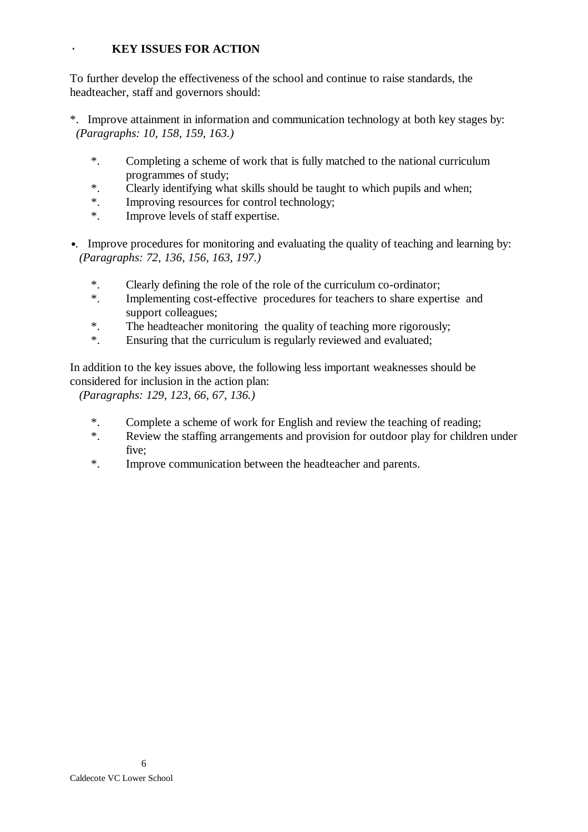#### · **KEY ISSUES FOR ACTION**

To further develop the effectiveness of the school and continue to raise standards, the headteacher, staff and governors should:

- \*. Improve attainment in information and communication technology at both key stages by: *(Paragraphs: 10, 158, 159, 163.)*
	- \*. Completing a scheme of work that is fully matched to the national curriculum programmes of study;
	- \*. Clearly identifying what skills should be taught to which pupils and when;<br>\* Improving resources for control technology:
	- Improving resources for control technology;
	- \*. Improve levels of staff expertise.
- •. Improve procedures for monitoring and evaluating the quality of teaching and learning by: *(Paragraphs: 72, 136, 156, 163, 197.)*
	- \*. Clearly defining the role of the role of the curriculum co-ordinator;
	- \*. Implementing cost-effective procedures for teachers to share expertise and support colleagues;
	- \*. The headteacher monitoring the quality of teaching more rigorously;
	- \*. Ensuring that the curriculum is regularly reviewed and evaluated;

In addition to the key issues above, the following less important weaknesses should be considered for inclusion in the action plan:

*(Paragraphs: 129, 123, 66, 67, 136.)*

- \*. Complete a scheme of work for English and review the teaching of reading;
- \*. Review the staffing arrangements and provision for outdoor play for children under five;
- \*. Improve communication between the headteacher and parents.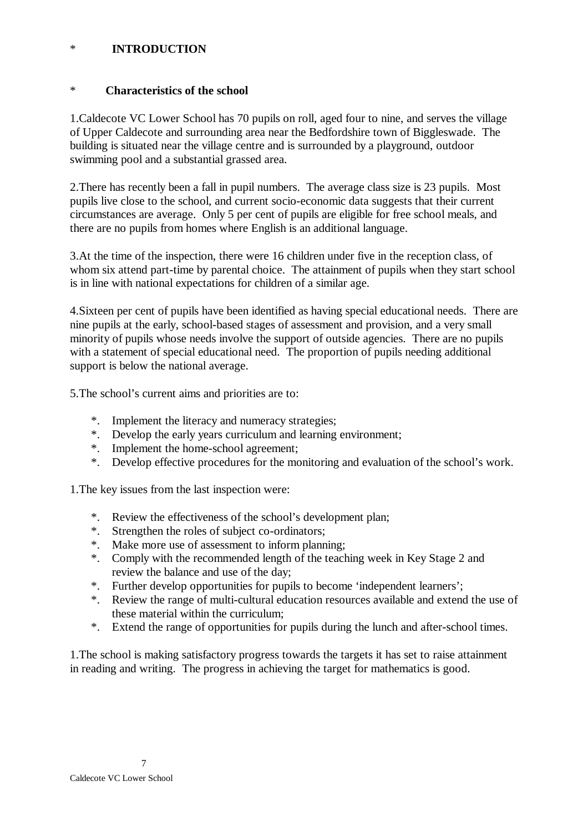#### \* **INTRODUCTION**

#### \* **Characteristics of the school**

1.Caldecote VC Lower School has 70 pupils on roll, aged four to nine, and serves the village of Upper Caldecote and surrounding area near the Bedfordshire town of Biggleswade. The building is situated near the village centre and is surrounded by a playground, outdoor swimming pool and a substantial grassed area.

2.There has recently been a fall in pupil numbers. The average class size is 23 pupils. Most pupils live close to the school, and current socio-economic data suggests that their current circumstances are average. Only 5 per cent of pupils are eligible for free school meals, and there are no pupils from homes where English is an additional language.

3.At the time of the inspection, there were 16 children under five in the reception class, of whom six attend part-time by parental choice. The attainment of pupils when they start school is in line with national expectations for children of a similar age.

4.Sixteen per cent of pupils have been identified as having special educational needs. There are nine pupils at the early, school-based stages of assessment and provision, and a very small minority of pupils whose needs involve the support of outside agencies. There are no pupils with a statement of special educational need. The proportion of pupils needing additional support is below the national average.

5.The school's current aims and priorities are to:

- \*. Implement the literacy and numeracy strategies;
- \*. Develop the early years curriculum and learning environment;
- \*. Implement the home-school agreement;
- \*. Develop effective procedures for the monitoring and evaluation of the school's work.

1.The key issues from the last inspection were:

- \*. Review the effectiveness of the school's development plan;
- \*. Strengthen the roles of subject co-ordinators;
- \*. Make more use of assessment to inform planning;
- \*. Comply with the recommended length of the teaching week in Key Stage 2 and review the balance and use of the day;
- \*. Further develop opportunities for pupils to become 'independent learners';
- \*. Review the range of multi-cultural education resources available and extend the use of these material within the curriculum;
- \*. Extend the range of opportunities for pupils during the lunch and after-school times.

1.The school is making satisfactory progress towards the targets it has set to raise attainment in reading and writing. The progress in achieving the target for mathematics is good.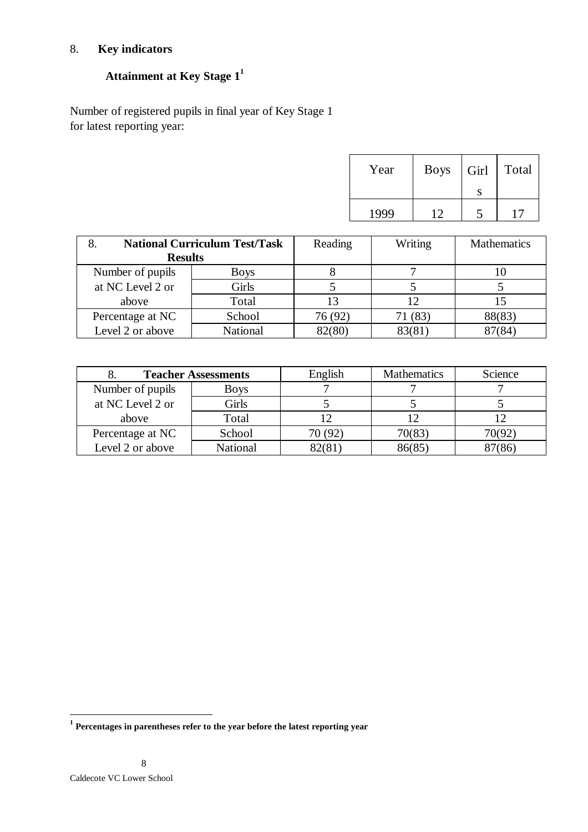# 8. **Key indicators**

# **Attainment at Key Stage 1<sup>1</sup>**

Number of registered pupils in final year of Key Stage 1 for latest reporting year:

| Year | <b>Boys</b> | Girl | Total |
|------|-------------|------|-------|
|      |             |      |       |
| 1999 | 12          |      |       |

| <b>National Curriculum Test/Task</b><br><b>Results</b> |             | Reading | Writing | <b>Mathematics</b> |
|--------------------------------------------------------|-------------|---------|---------|--------------------|
| Number of pupils                                       | <b>Boys</b> |         |         |                    |
| at NC Level 2 or                                       | Girls       |         |         |                    |
| above                                                  | Total       |         |         |                    |
| Percentage at NC                                       | School      | 76 (92) | 71 (83) | 88(83)             |
| Level 2 or above                                       | National    | 82(80)  | 83(81)  | 87(84)             |

| <b>Teacher Assessments</b> |             | English | <b>Mathematics</b> | Science |
|----------------------------|-------------|---------|--------------------|---------|
| Number of pupils           | <b>Boys</b> |         |                    |         |
| at NC Level 2 or           | Girls       |         |                    |         |
| above                      | Total       |         |                    |         |
| Percentage at NC           | School      | 70 (92) | 70(83)             | 70(92)  |
| Level 2 or above           | National    | 82(81   | 86(85)             |         |

 **1 Percentages in parentheses refer to the year before the latest reporting year**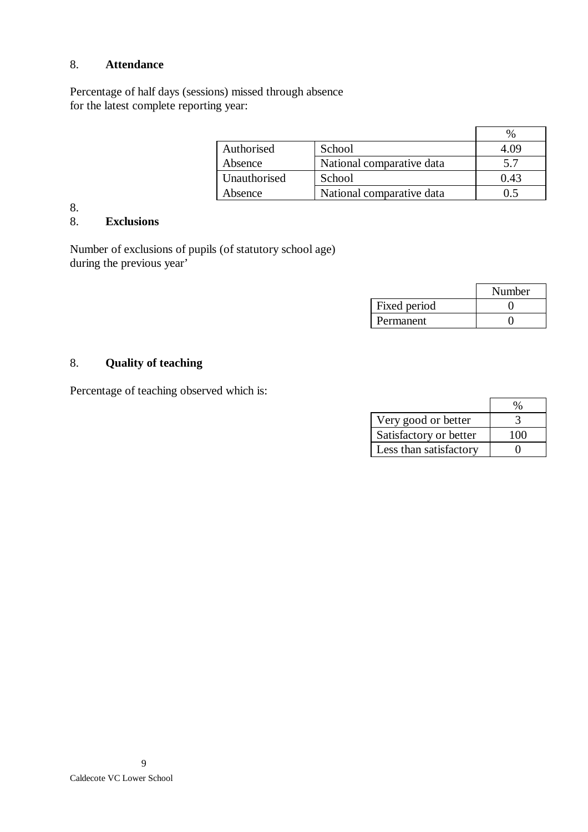#### 8. **Attendance**

Percentage of half days (sessions) missed through absence for the latest complete reporting year:

|              |                           | $\%$ |
|--------------|---------------------------|------|
| Authorised   | School                    | 4.09 |
| Absence      | National comparative data | 5.7  |
| Unauthorised | School                    | 0.43 |
| Absence      | National comparative data | () 5 |

# 8.

# 8. **Exclusions**

Number of exclusions of pupils (of statutory school age) during the previous year'

|              | Number |
|--------------|--------|
| Fixed period |        |
| Permanent    |        |

# 8. **Quality of teaching**

Percentage of teaching observed which is:

| Very good or better    |     |
|------------------------|-----|
| Satisfactory or better | 100 |
| Less than satisfactory |     |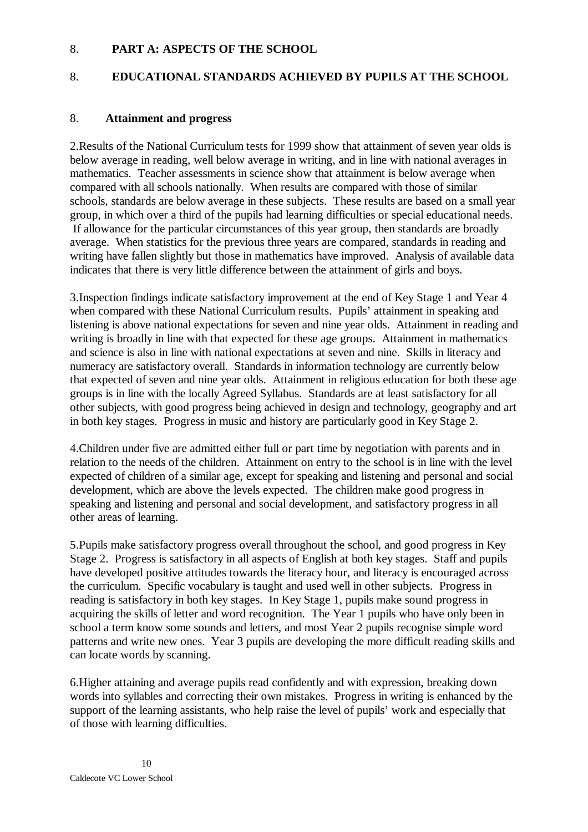#### 8. **PART A: ASPECTS OF THE SCHOOL**

### 8. **EDUCATIONAL STANDARDS ACHIEVED BY PUPILS AT THE SCHOOL**

#### 8. **Attainment and progress**

2.Results of the National Curriculum tests for 1999 show that attainment of seven year olds is below average in reading, well below average in writing, and in line with national averages in mathematics. Teacher assessments in science show that attainment is below average when compared with all schools nationally. When results are compared with those of similar schools, standards are below average in these subjects. These results are based on a small year group, in which over a third of the pupils had learning difficulties or special educational needs. If allowance for the particular circumstances of this year group, then standards are broadly average. When statistics for the previous three years are compared, standards in reading and writing have fallen slightly but those in mathematics have improved. Analysis of available data indicates that there is very little difference between the attainment of girls and boys.

3.Inspection findings indicate satisfactory improvement at the end of Key Stage 1 and Year 4 when compared with these National Curriculum results. Pupils' attainment in speaking and listening is above national expectations for seven and nine year olds. Attainment in reading and writing is broadly in line with that expected for these age groups. Attainment in mathematics and science is also in line with national expectations at seven and nine. Skills in literacy and numeracy are satisfactory overall. Standards in information technology are currently below that expected of seven and nine year olds. Attainment in religious education for both these age groups is in line with the locally Agreed Syllabus. Standards are at least satisfactory for all other subjects, with good progress being achieved in design and technology, geography and art in both key stages. Progress in music and history are particularly good in Key Stage 2.

4.Children under five are admitted either full or part time by negotiation with parents and in relation to the needs of the children. Attainment on entry to the school is in line with the level expected of children of a similar age, except for speaking and listening and personal and social development, which are above the levels expected. The children make good progress in speaking and listening and personal and social development, and satisfactory progress in all other areas of learning.

5.Pupils make satisfactory progress overall throughout the school, and good progress in Key Stage 2. Progress is satisfactory in all aspects of English at both key stages. Staff and pupils have developed positive attitudes towards the literacy hour, and literacy is encouraged across the curriculum. Specific vocabulary is taught and used well in other subjects. Progress in reading is satisfactory in both key stages. In Key Stage 1, pupils make sound progress in acquiring the skills of letter and word recognition. The Year 1 pupils who have only been in school a term know some sounds and letters, and most Year 2 pupils recognise simple word patterns and write new ones. Year 3 pupils are developing the more difficult reading skills and can locate words by scanning.

6.Higher attaining and average pupils read confidently and with expression, breaking down words into syllables and correcting their own mistakes. Progress in writing is enhanced by the support of the learning assistants, who help raise the level of pupils' work and especially that of those with learning difficulties.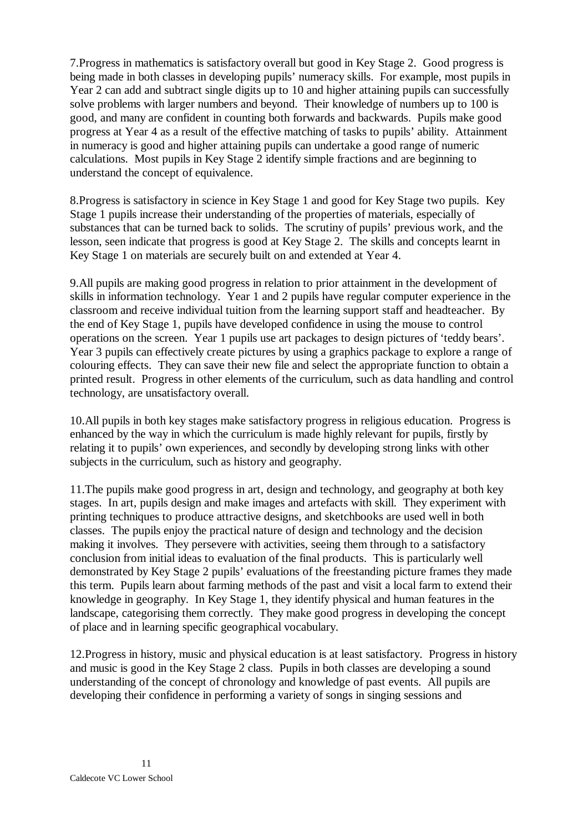7.Progress in mathematics is satisfactory overall but good in Key Stage 2. Good progress is being made in both classes in developing pupils' numeracy skills. For example, most pupils in Year 2 can add and subtract single digits up to 10 and higher attaining pupils can successfully solve problems with larger numbers and beyond. Their knowledge of numbers up to 100 is good, and many are confident in counting both forwards and backwards. Pupils make good progress at Year 4 as a result of the effective matching of tasks to pupils' ability. Attainment in numeracy is good and higher attaining pupils can undertake a good range of numeric calculations. Most pupils in Key Stage 2 identify simple fractions and are beginning to understand the concept of equivalence.

8.Progress is satisfactory in science in Key Stage 1 and good for Key Stage two pupils. Key Stage 1 pupils increase their understanding of the properties of materials, especially of substances that can be turned back to solids. The scrutiny of pupils' previous work, and the lesson, seen indicate that progress is good at Key Stage 2. The skills and concepts learnt in Key Stage 1 on materials are securely built on and extended at Year 4.

9.All pupils are making good progress in relation to prior attainment in the development of skills in information technology. Year 1 and 2 pupils have regular computer experience in the classroom and receive individual tuition from the learning support staff and headteacher. By the end of Key Stage 1, pupils have developed confidence in using the mouse to control operations on the screen. Year 1 pupils use art packages to design pictures of 'teddy bears'. Year 3 pupils can effectively create pictures by using a graphics package to explore a range of colouring effects. They can save their new file and select the appropriate function to obtain a printed result. Progress in other elements of the curriculum, such as data handling and control technology, are unsatisfactory overall.

10.All pupils in both key stages make satisfactory progress in religious education. Progress is enhanced by the way in which the curriculum is made highly relevant for pupils, firstly by relating it to pupils' own experiences, and secondly by developing strong links with other subjects in the curriculum, such as history and geography.

11.The pupils make good progress in art, design and technology, and geography at both key stages. In art, pupils design and make images and artefacts with skill. They experiment with printing techniques to produce attractive designs, and sketchbooks are used well in both classes. The pupils enjoy the practical nature of design and technology and the decision making it involves. They persevere with activities, seeing them through to a satisfactory conclusion from initial ideas to evaluation of the final products. This is particularly well demonstrated by Key Stage 2 pupils' evaluations of the freestanding picture frames they made this term. Pupils learn about farming methods of the past and visit a local farm to extend their knowledge in geography. In Key Stage 1, they identify physical and human features in the landscape, categorising them correctly. They make good progress in developing the concept of place and in learning specific geographical vocabulary.

12.Progress in history, music and physical education is at least satisfactory. Progress in history and music is good in the Key Stage 2 class. Pupils in both classes are developing a sound understanding of the concept of chronology and knowledge of past events. All pupils are developing their confidence in performing a variety of songs in singing sessions and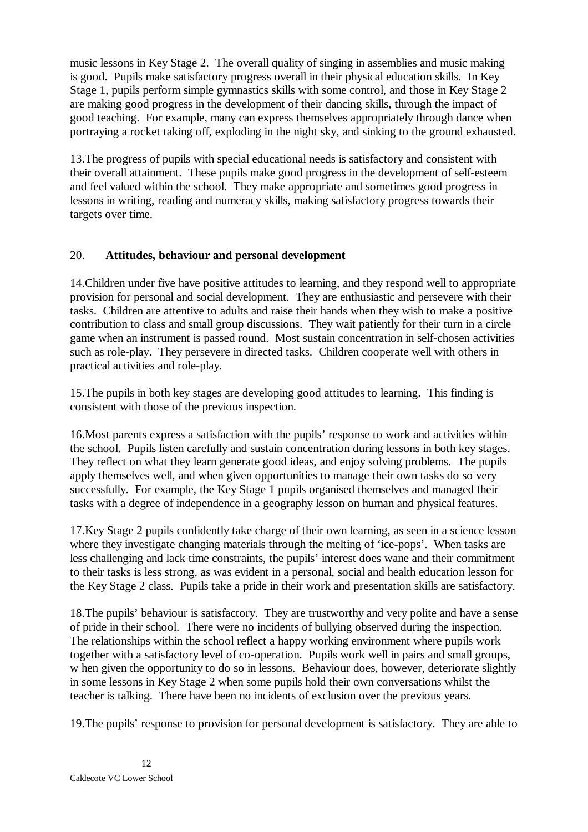music lessons in Key Stage 2. The overall quality of singing in assemblies and music making is good. Pupils make satisfactory progress overall in their physical education skills. In Key Stage 1, pupils perform simple gymnastics skills with some control, and those in Key Stage 2 are making good progress in the development of their dancing skills, through the impact of good teaching. For example, many can express themselves appropriately through dance when portraying a rocket taking off, exploding in the night sky, and sinking to the ground exhausted.

13.The progress of pupils with special educational needs is satisfactory and consistent with their overall attainment. These pupils make good progress in the development of self-esteem and feel valued within the school. They make appropriate and sometimes good progress in lessons in writing, reading and numeracy skills, making satisfactory progress towards their targets over time.

### 20. **Attitudes, behaviour and personal development**

14.Children under five have positive attitudes to learning, and they respond well to appropriate provision for personal and social development. They are enthusiastic and persevere with their tasks. Children are attentive to adults and raise their hands when they wish to make a positive contribution to class and small group discussions. They wait patiently for their turn in a circle game when an instrument is passed round. Most sustain concentration in self-chosen activities such as role-play. They persevere in directed tasks. Children cooperate well with others in practical activities and role-play.

15.The pupils in both key stages are developing good attitudes to learning. This finding is consistent with those of the previous inspection.

16.Most parents express a satisfaction with the pupils' response to work and activities within the school. Pupils listen carefully and sustain concentration during lessons in both key stages. They reflect on what they learn generate good ideas, and enjoy solving problems. The pupils apply themselves well, and when given opportunities to manage their own tasks do so very successfully. For example, the Key Stage 1 pupils organised themselves and managed their tasks with a degree of independence in a geography lesson on human and physical features.

17.Key Stage 2 pupils confidently take charge of their own learning, as seen in a science lesson where they investigate changing materials through the melting of 'ice-pops'. When tasks are less challenging and lack time constraints, the pupils' interest does wane and their commitment to their tasks is less strong, as was evident in a personal, social and health education lesson for the Key Stage 2 class. Pupils take a pride in their work and presentation skills are satisfactory.

18.The pupils' behaviour is satisfactory. They are trustworthy and very polite and have a sense of pride in their school. There were no incidents of bullying observed during the inspection. The relationships within the school reflect a happy working environment where pupils work together with a satisfactory level of co-operation. Pupils work well in pairs and small groups, w hen given the opportunity to do so in lessons. Behaviour does, however, deteriorate slightly in some lessons in Key Stage 2 when some pupils hold their own conversations whilst the teacher is talking. There have been no incidents of exclusion over the previous years.

19.The pupils' response to provision for personal development is satisfactory. They are able to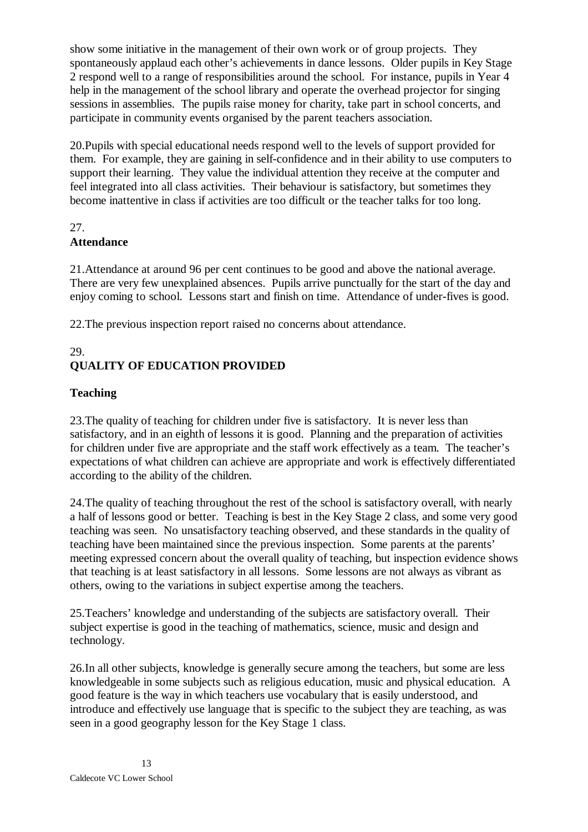show some initiative in the management of their own work or of group projects. They spontaneously applaud each other's achievements in dance lessons. Older pupils in Key Stage 2 respond well to a range of responsibilities around the school. For instance, pupils in Year 4 help in the management of the school library and operate the overhead projector for singing sessions in assemblies. The pupils raise money for charity, take part in school concerts, and participate in community events organised by the parent teachers association.

20.Pupils with special educational needs respond well to the levels of support provided for them. For example, they are gaining in self-confidence and in their ability to use computers to support their learning. They value the individual attention they receive at the computer and feel integrated into all class activities. Their behaviour is satisfactory, but sometimes they become inattentive in class if activities are too difficult or the teacher talks for too long.

### 27.

### **Attendance**

21.Attendance at around 96 per cent continues to be good and above the national average. There are very few unexplained absences. Pupils arrive punctually for the start of the day and enjoy coming to school. Lessons start and finish on time. Attendance of under-fives is good.

22.The previous inspection report raised no concerns about attendance.

#### 29. **QUALITY OF EDUCATION PROVIDED**

# **Teaching**

23.The quality of teaching for children under five is satisfactory. It is never less than satisfactory, and in an eighth of lessons it is good. Planning and the preparation of activities for children under five are appropriate and the staff work effectively as a team. The teacher's expectations of what children can achieve are appropriate and work is effectively differentiated according to the ability of the children.

24.The quality of teaching throughout the rest of the school is satisfactory overall, with nearly a half of lessons good or better. Teaching is best in the Key Stage 2 class, and some very good teaching was seen. No unsatisfactory teaching observed, and these standards in the quality of teaching have been maintained since the previous inspection. Some parents at the parents' meeting expressed concern about the overall quality of teaching, but inspection evidence shows that teaching is at least satisfactory in all lessons. Some lessons are not always as vibrant as others, owing to the variations in subject expertise among the teachers.

25.Teachers' knowledge and understanding of the subjects are satisfactory overall. Their subject expertise is good in the teaching of mathematics, science, music and design and technology.

26.In all other subjects, knowledge is generally secure among the teachers, but some are less knowledgeable in some subjects such as religious education, music and physical education. A good feature is the way in which teachers use vocabulary that is easily understood, and introduce and effectively use language that is specific to the subject they are teaching, as was seen in a good geography lesson for the Key Stage 1 class.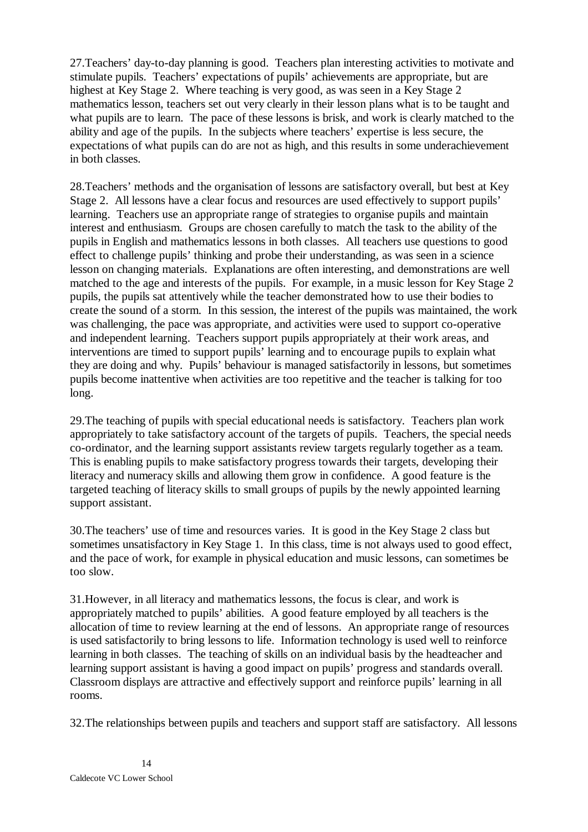27.Teachers' day-to-day planning is good. Teachers plan interesting activities to motivate and stimulate pupils. Teachers' expectations of pupils' achievements are appropriate, but are highest at Key Stage 2. Where teaching is very good, as was seen in a Key Stage 2 mathematics lesson, teachers set out very clearly in their lesson plans what is to be taught and what pupils are to learn. The pace of these lessons is brisk, and work is clearly matched to the ability and age of the pupils. In the subjects where teachers' expertise is less secure, the expectations of what pupils can do are not as high, and this results in some underachievement in both classes.

28.Teachers' methods and the organisation of lessons are satisfactory overall, but best at Key Stage 2. All lessons have a clear focus and resources are used effectively to support pupils' learning. Teachers use an appropriate range of strategies to organise pupils and maintain interest and enthusiasm. Groups are chosen carefully to match the task to the ability of the pupils in English and mathematics lessons in both classes. All teachers use questions to good effect to challenge pupils' thinking and probe their understanding, as was seen in a science lesson on changing materials. Explanations are often interesting, and demonstrations are well matched to the age and interests of the pupils. For example, in a music lesson for Key Stage 2 pupils, the pupils sat attentively while the teacher demonstrated how to use their bodies to create the sound of a storm. In this session, the interest of the pupils was maintained, the work was challenging, the pace was appropriate, and activities were used to support co-operative and independent learning. Teachers support pupils appropriately at their work areas, and interventions are timed to support pupils' learning and to encourage pupils to explain what they are doing and why. Pupils' behaviour is managed satisfactorily in lessons, but sometimes pupils become inattentive when activities are too repetitive and the teacher is talking for too long.

29.The teaching of pupils with special educational needs is satisfactory. Teachers plan work appropriately to take satisfactory account of the targets of pupils. Teachers, the special needs co-ordinator, and the learning support assistants review targets regularly together as a team. This is enabling pupils to make satisfactory progress towards their targets, developing their literacy and numeracy skills and allowing them grow in confidence. A good feature is the targeted teaching of literacy skills to small groups of pupils by the newly appointed learning support assistant.

30.The teachers' use of time and resources varies. It is good in the Key Stage 2 class but sometimes unsatisfactory in Key Stage 1. In this class, time is not always used to good effect, and the pace of work, for example in physical education and music lessons, can sometimes be too slow.

31.However, in all literacy and mathematics lessons, the focus is clear, and work is appropriately matched to pupils' abilities. A good feature employed by all teachers is the allocation of time to review learning at the end of lessons. An appropriate range of resources is used satisfactorily to bring lessons to life. Information technology is used well to reinforce learning in both classes. The teaching of skills on an individual basis by the headteacher and learning support assistant is having a good impact on pupils' progress and standards overall. Classroom displays are attractive and effectively support and reinforce pupils' learning in all rooms.

32.The relationships between pupils and teachers and support staff are satisfactory. All lessons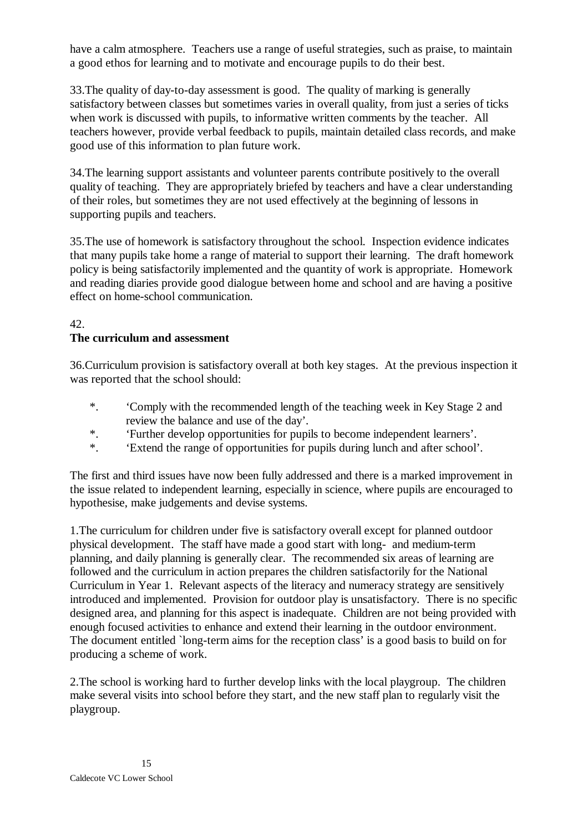have a calm atmosphere. Teachers use a range of useful strategies, such as praise, to maintain a good ethos for learning and to motivate and encourage pupils to do their best.

33.The quality of day-to-day assessment is good. The quality of marking is generally satisfactory between classes but sometimes varies in overall quality, from just a series of ticks when work is discussed with pupils, to informative written comments by the teacher. All teachers however, provide verbal feedback to pupils, maintain detailed class records, and make good use of this information to plan future work.

34.The learning support assistants and volunteer parents contribute positively to the overall quality of teaching. They are appropriately briefed by teachers and have a clear understanding of their roles, but sometimes they are not used effectively at the beginning of lessons in supporting pupils and teachers.

35.The use of homework is satisfactory throughout the school. Inspection evidence indicates that many pupils take home a range of material to support their learning. The draft homework policy is being satisfactorily implemented and the quantity of work is appropriate. Homework and reading diaries provide good dialogue between home and school and are having a positive effect on home-school communication.

#### 42.

#### **The curriculum and assessment**

36.Curriculum provision is satisfactory overall at both key stages. At the previous inspection it was reported that the school should:

- \*. 'Comply with the recommended length of the teaching week in Key Stage 2 and review the balance and use of the day'.
- \*. 'Further develop opportunities for pupils to become independent learners'.
- \*. 'Extend the range of opportunities for pupils during lunch and after school'.

The first and third issues have now been fully addressed and there is a marked improvement in the issue related to independent learning, especially in science, where pupils are encouraged to hypothesise, make judgements and devise systems.

1.The curriculum for children under five is satisfactory overall except for planned outdoor physical development. The staff have made a good start with long- and medium-term planning, and daily planning is generally clear. The recommended six areas of learning are followed and the curriculum in action prepares the children satisfactorily for the National Curriculum in Year 1. Relevant aspects of the literacy and numeracy strategy are sensitively introduced and implemented. Provision for outdoor play is unsatisfactory. There is no specific designed area, and planning for this aspect is inadequate. Children are not being provided with enough focused activities to enhance and extend their learning in the outdoor environment. The document entitled `long-term aims for the reception class' is a good basis to build on for producing a scheme of work.

2.The school is working hard to further develop links with the local playgroup. The children make several visits into school before they start, and the new staff plan to regularly visit the playgroup.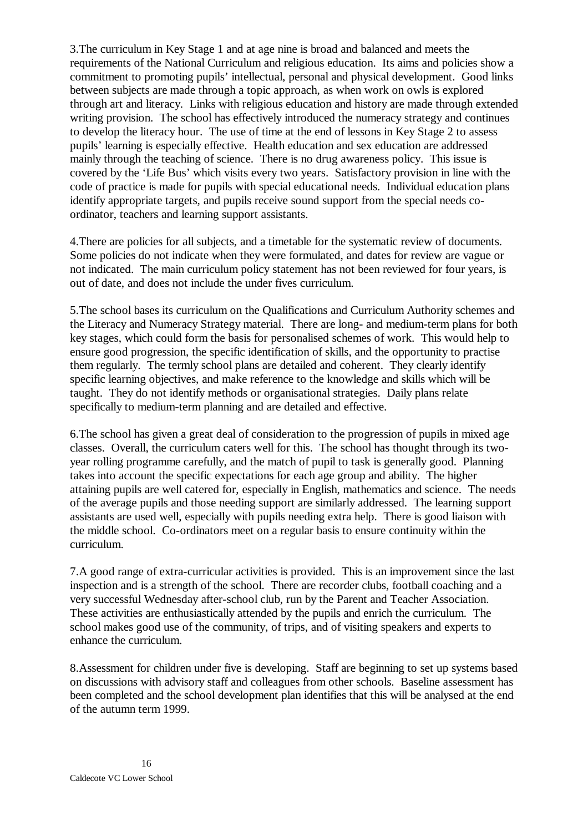3.The curriculum in Key Stage 1 and at age nine is broad and balanced and meets the requirements of the National Curriculum and religious education. Its aims and policies show a commitment to promoting pupils' intellectual, personal and physical development. Good links between subjects are made through a topic approach, as when work on owls is explored through art and literacy. Links with religious education and history are made through extended writing provision. The school has effectively introduced the numeracy strategy and continues to develop the literacy hour. The use of time at the end of lessons in Key Stage 2 to assess pupils' learning is especially effective. Health education and sex education are addressed mainly through the teaching of science. There is no drug awareness policy. This issue is covered by the 'Life Bus' which visits every two years. Satisfactory provision in line with the code of practice is made for pupils with special educational needs. Individual education plans identify appropriate targets, and pupils receive sound support from the special needs coordinator, teachers and learning support assistants.

4.There are policies for all subjects, and a timetable for the systematic review of documents. Some policies do not indicate when they were formulated, and dates for review are vague or not indicated. The main curriculum policy statement has not been reviewed for four years, is out of date, and does not include the under fives curriculum.

5.The school bases its curriculum on the Qualifications and Curriculum Authority schemes and the Literacy and Numeracy Strategy material. There are long- and medium-term plans for both key stages, which could form the basis for personalised schemes of work. This would help to ensure good progression, the specific identification of skills, and the opportunity to practise them regularly. The termly school plans are detailed and coherent. They clearly identify specific learning objectives, and make reference to the knowledge and skills which will be taught. They do not identify methods or organisational strategies. Daily plans relate specifically to medium-term planning and are detailed and effective.

6.The school has given a great deal of consideration to the progression of pupils in mixed age classes. Overall, the curriculum caters well for this. The school has thought through its twoyear rolling programme carefully, and the match of pupil to task is generally good. Planning takes into account the specific expectations for each age group and ability. The higher attaining pupils are well catered for, especially in English, mathematics and science. The needs of the average pupils and those needing support are similarly addressed. The learning support assistants are used well, especially with pupils needing extra help. There is good liaison with the middle school. Co-ordinators meet on a regular basis to ensure continuity within the curriculum.

7.A good range of extra-curricular activities is provided. This is an improvement since the last inspection and is a strength of the school. There are recorder clubs, football coaching and a very successful Wednesday after-school club, run by the Parent and Teacher Association. These activities are enthusiastically attended by the pupils and enrich the curriculum. The school makes good use of the community, of trips, and of visiting speakers and experts to enhance the curriculum.

8.Assessment for children under five is developing. Staff are beginning to set up systems based on discussions with advisory staff and colleagues from other schools. Baseline assessment has been completed and the school development plan identifies that this will be analysed at the end of the autumn term 1999.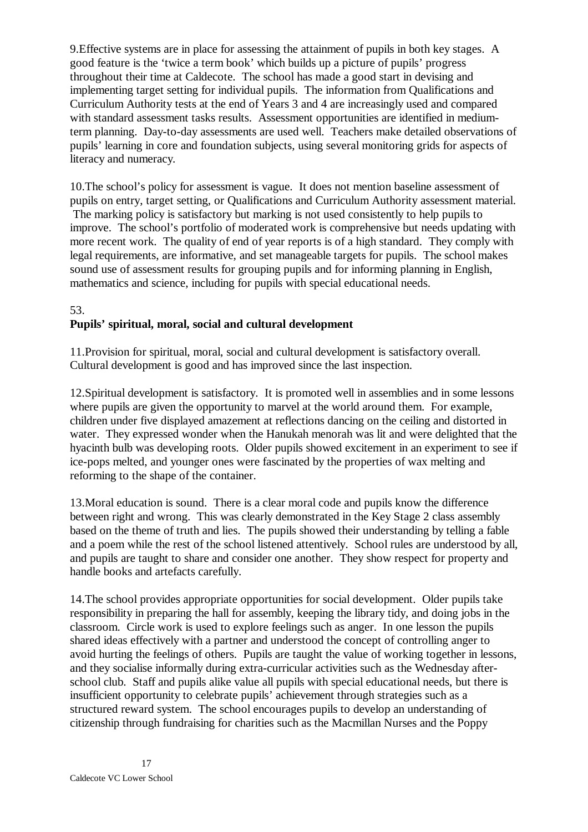9.Effective systems are in place for assessing the attainment of pupils in both key stages. A good feature is the 'twice a term book' which builds up a picture of pupils' progress throughout their time at Caldecote. The school has made a good start in devising and implementing target setting for individual pupils. The information from Qualifications and Curriculum Authority tests at the end of Years 3 and 4 are increasingly used and compared with standard assessment tasks results. Assessment opportunities are identified in mediumterm planning. Day-to-day assessments are used well. Teachers make detailed observations of pupils' learning in core and foundation subjects, using several monitoring grids for aspects of literacy and numeracy*.*

10.The school's policy for assessment is vague. It does not mention baseline assessment of pupils on entry, target setting, or Qualifications and Curriculum Authority assessment material. The marking policy is satisfactory but marking is not used consistently to help pupils to improve. The school's portfolio of moderated work is comprehensive but needs updating with more recent work. The quality of end of year reports is of a high standard. They comply with legal requirements, are informative, and set manageable targets for pupils. The school makes sound use of assessment results for grouping pupils and for informing planning in English, mathematics and science, including for pupils with special educational needs.

#### 53.

#### **Pupils' spiritual, moral, social and cultural development**

11.Provision for spiritual, moral, social and cultural development is satisfactory overall. Cultural development is good and has improved since the last inspection.

12.Spiritual development is satisfactory. It is promoted well in assemblies and in some lessons where pupils are given the opportunity to marvel at the world around them. For example, children under five displayed amazement at reflections dancing on the ceiling and distorted in water. They expressed wonder when the Hanukah menorah was lit and were delighted that the hyacinth bulb was developing roots. Older pupils showed excitement in an experiment to see if ice-pops melted, and younger ones were fascinated by the properties of wax melting and reforming to the shape of the container.

13.Moral education is sound. There is a clear moral code and pupils know the difference between right and wrong. This was clearly demonstrated in the Key Stage 2 class assembly based on the theme of truth and lies. The pupils showed their understanding by telling a fable and a poem while the rest of the school listened attentively. School rules are understood by all, and pupils are taught to share and consider one another. They show respect for property and handle books and artefacts carefully.

14.The school provides appropriate opportunities for social development. Older pupils take responsibility in preparing the hall for assembly, keeping the library tidy, and doing jobs in the classroom. Circle work is used to explore feelings such as anger. In one lesson the pupils shared ideas effectively with a partner and understood the concept of controlling anger to avoid hurting the feelings of others. Pupils are taught the value of working together in lessons, and they socialise informally during extra-curricular activities such as the Wednesday afterschool club. Staff and pupils alike value all pupils with special educational needs, but there is insufficient opportunity to celebrate pupils' achievement through strategies such as a structured reward system. The school encourages pupils to develop an understanding of citizenship through fundraising for charities such as the Macmillan Nurses and the Poppy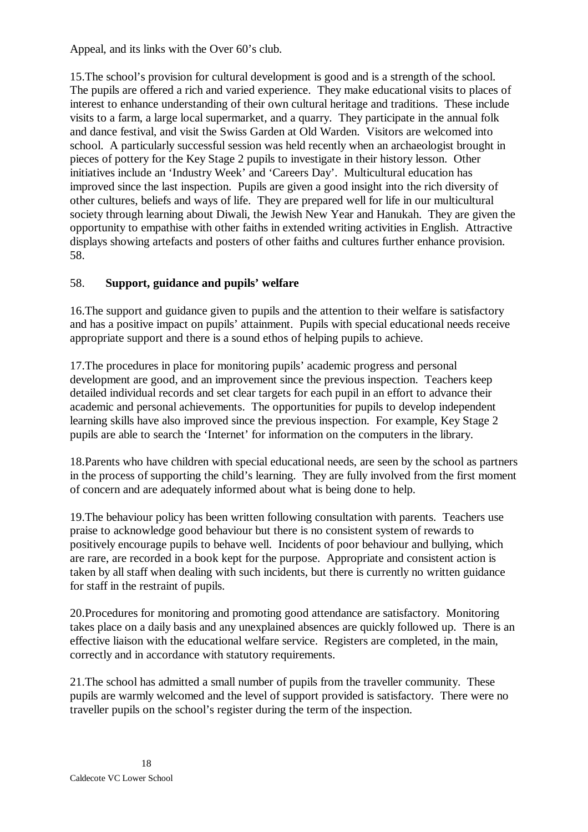Appeal, and its links with the Over 60's club.

15.The school's provision for cultural development is good and is a strength of the school. The pupils are offered a rich and varied experience. They make educational visits to places of interest to enhance understanding of their own cultural heritage and traditions. These include visits to a farm, a large local supermarket, and a quarry. They participate in the annual folk and dance festival, and visit the Swiss Garden at Old Warden. Visitors are welcomed into school. A particularly successful session was held recently when an archaeologist brought in pieces of pottery for the Key Stage 2 pupils to investigate in their history lesson. Other initiatives include an 'Industry Week' and 'Careers Day'. Multicultural education has improved since the last inspection. Pupils are given a good insight into the rich diversity of other cultures, beliefs and ways of life. They are prepared well for life in our multicultural society through learning about Diwali, the Jewish New Year and Hanukah. They are given the opportunity to empathise with other faiths in extended writing activities in English. Attractive displays showing artefacts and posters of other faiths and cultures further enhance provision. 58.

# 58. **Support, guidance and pupils' welfare**

16.The support and guidance given to pupils and the attention to their welfare is satisfactory and has a positive impact on pupils' attainment. Pupils with special educational needs receive appropriate support and there is a sound ethos of helping pupils to achieve.

17.The procedures in place for monitoring pupils' academic progress and personal development are good, and an improvement since the previous inspection. Teachers keep detailed individual records and set clear targets for each pupil in an effort to advance their academic and personal achievements. The opportunities for pupils to develop independent learning skills have also improved since the previous inspection. For example, Key Stage 2 pupils are able to search the 'Internet' for information on the computers in the library.

18.Parents who have children with special educational needs, are seen by the school as partners in the process of supporting the child's learning. They are fully involved from the first moment of concern and are adequately informed about what is being done to help.

19.The behaviour policy has been written following consultation with parents. Teachers use praise to acknowledge good behaviour but there is no consistent system of rewards to positively encourage pupils to behave well. Incidents of poor behaviour and bullying, which are rare, are recorded in a book kept for the purpose. Appropriate and consistent action is taken by all staff when dealing with such incidents, but there is currently no written guidance for staff in the restraint of pupils.

20.Procedures for monitoring and promoting good attendance are satisfactory. Monitoring takes place on a daily basis and any unexplained absences are quickly followed up. There is an effective liaison with the educational welfare service. Registers are completed, in the main, correctly and in accordance with statutory requirements.

21.The school has admitted a small number of pupils from the traveller community. These pupils are warmly welcomed and the level of support provided is satisfactory. There were no traveller pupils on the school's register during the term of the inspection.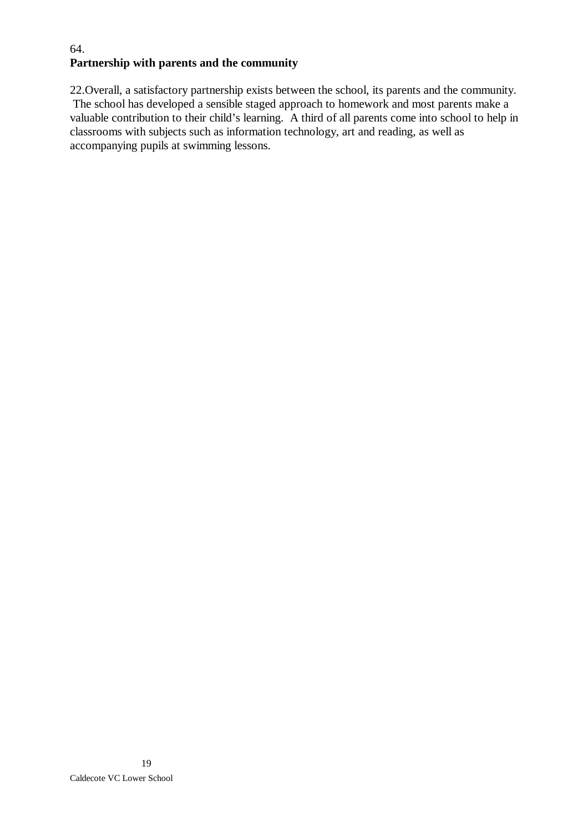# 64. **Partnership with parents and the community**

22.Overall, a satisfactory partnership exists between the school, its parents and the community. The school has developed a sensible staged approach to homework and most parents make a valuable contribution to their child's learning. A third of all parents come into school to help in classrooms with subjects such as information technology, art and reading, as well as accompanying pupils at swimming lessons.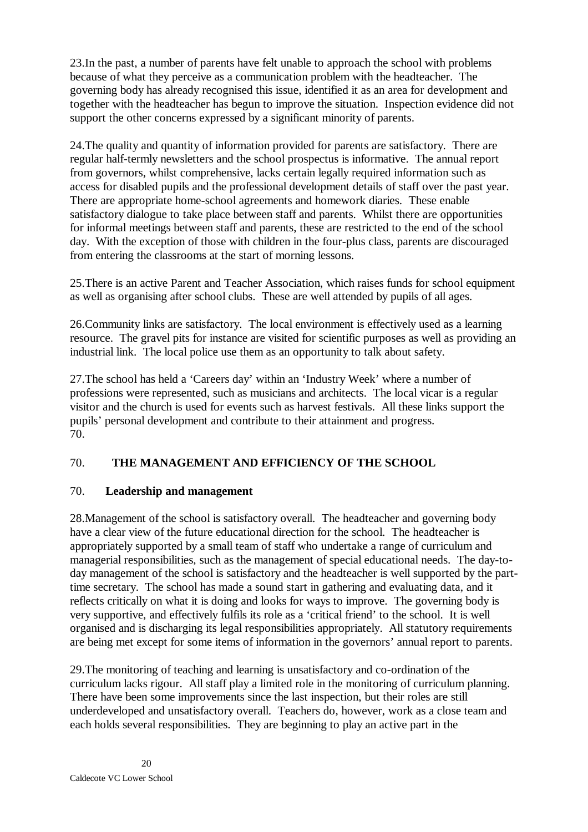23.In the past, a number of parents have felt unable to approach the school with problems because of what they perceive as a communication problem with the headteacher. The governing body has already recognised this issue, identified it as an area for development and together with the headteacher has begun to improve the situation. Inspection evidence did not support the other concerns expressed by a significant minority of parents.

24.The quality and quantity of information provided for parents are satisfactory. There are regular half-termly newsletters and the school prospectus is informative. The annual report from governors, whilst comprehensive, lacks certain legally required information such as access for disabled pupils and the professional development details of staff over the past year. There are appropriate home-school agreements and homework diaries. These enable satisfactory dialogue to take place between staff and parents. Whilst there are opportunities for informal meetings between staff and parents, these are restricted to the end of the school day. With the exception of those with children in the four-plus class, parents are discouraged from entering the classrooms at the start of morning lessons.

25.There is an active Parent and Teacher Association, which raises funds for school equipment as well as organising after school clubs. These are well attended by pupils of all ages.

26.Community links are satisfactory. The local environment is effectively used as a learning resource. The gravel pits for instance are visited for scientific purposes as well as providing an industrial link. The local police use them as an opportunity to talk about safety.

27.The school has held a 'Careers day' within an 'Industry Week' where a number of professions were represented, such as musicians and architects. The local vicar is a regular visitor and the church is used for events such as harvest festivals. All these links support the pupils' personal development and contribute to their attainment and progress. 70.

# 70. **THE MANAGEMENT AND EFFICIENCY OF THE SCHOOL**

# 70. **Leadership and management**

28.Management of the school is satisfactory overall. The headteacher and governing body have a clear view of the future educational direction for the school. The headteacher is appropriately supported by a small team of staff who undertake a range of curriculum and managerial responsibilities, such as the management of special educational needs. The day-today management of the school is satisfactory and the headteacher is well supported by the parttime secretary. The school has made a sound start in gathering and evaluating data, and it reflects critically on what it is doing and looks for ways to improve. The governing body is very supportive, and effectively fulfils its role as a 'critical friend' to the school. It is well organised and is discharging its legal responsibilities appropriately. All statutory requirements are being met except for some items of information in the governors' annual report to parents.

29.The monitoring of teaching and learning is unsatisfactory and co-ordination of the curriculum lacks rigour. All staff play a limited role in the monitoring of curriculum planning. There have been some improvements since the last inspection, but their roles are still underdeveloped and unsatisfactory overall. Teachers do, however, work as a close team and each holds several responsibilities. They are beginning to play an active part in the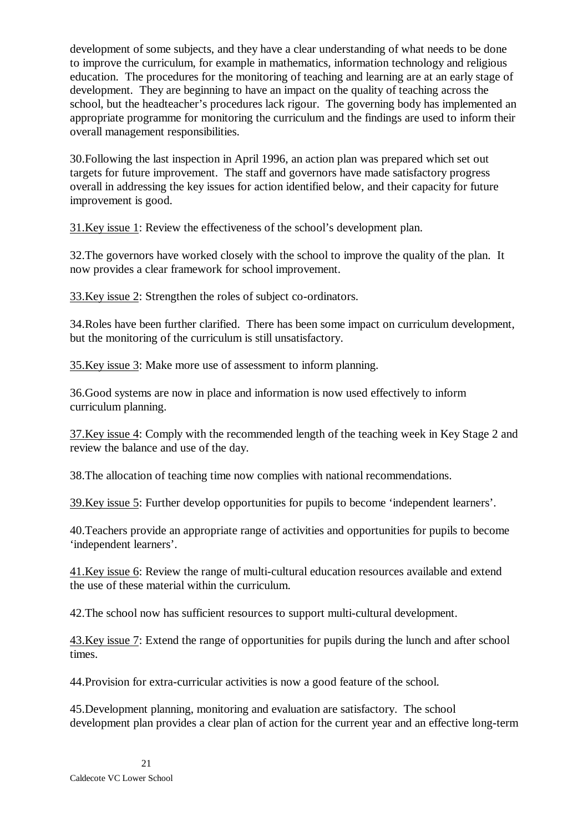development of some subjects, and they have a clear understanding of what needs to be done to improve the curriculum, for example in mathematics, information technology and religious education. The procedures for the monitoring of teaching and learning are at an early stage of development. They are beginning to have an impact on the quality of teaching across the school, but the headteacher's procedures lack rigour. The governing body has implemented an appropriate programme for monitoring the curriculum and the findings are used to inform their overall management responsibilities.

30.Following the last inspection in April 1996, an action plan was prepared which set out targets for future improvement. The staff and governors have made satisfactory progress overall in addressing the key issues for action identified below, and their capacity for future improvement is good.

31.Key issue 1: Review the effectiveness of the school's development plan.

32.The governors have worked closely with the school to improve the quality of the plan. It now provides a clear framework for school improvement.

33.Key issue 2: Strengthen the roles of subject co-ordinators.

34.Roles have been further clarified. There has been some impact on curriculum development, but the monitoring of the curriculum is still unsatisfactory.

35.Key issue 3: Make more use of assessment to inform planning.

36.Good systems are now in place and information is now used effectively to inform curriculum planning.

37.Key issue 4: Comply with the recommended length of the teaching week in Key Stage 2 and review the balance and use of the day.

38.The allocation of teaching time now complies with national recommendations.

39.Key issue 5: Further develop opportunities for pupils to become 'independent learners'.

40.Teachers provide an appropriate range of activities and opportunities for pupils to become 'independent learners'.

41.Key issue 6: Review the range of multi-cultural education resources available and extend the use of these material within the curriculum.

42.The school now has sufficient resources to support multi-cultural development.

43.Key issue 7: Extend the range of opportunities for pupils during the lunch and after school times.

44.Provision for extra-curricular activities is now a good feature of the school.

45.Development planning, monitoring and evaluation are satisfactory. The school development plan provides a clear plan of action for the current year and an effective long-term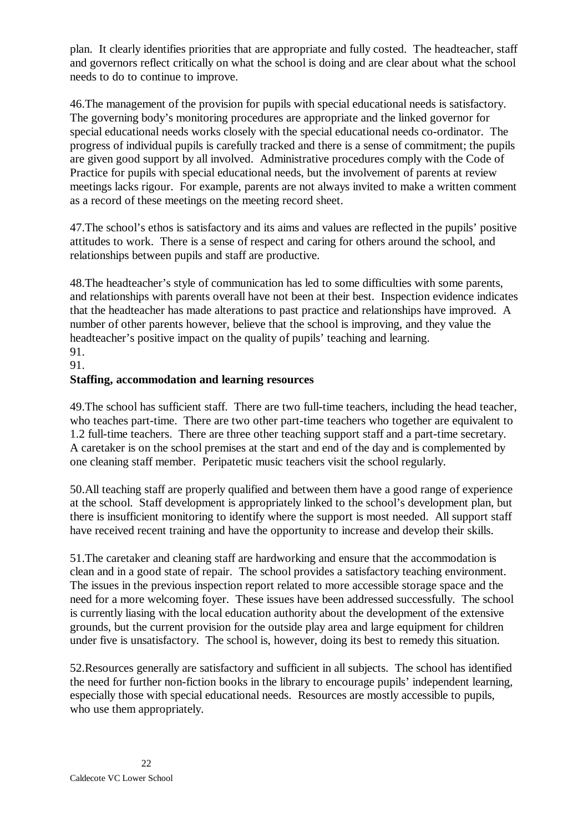plan. It clearly identifies priorities that are appropriate and fully costed. The headteacher, staff and governors reflect critically on what the school is doing and are clear about what the school needs to do to continue to improve.

46.The management of the provision for pupils with special educational needs is satisfactory. The governing body's monitoring procedures are appropriate and the linked governor for special educational needs works closely with the special educational needs co-ordinator. The progress of individual pupils is carefully tracked and there is a sense of commitment; the pupils are given good support by all involved. Administrative procedures comply with the Code of Practice for pupils with special educational needs, but the involvement of parents at review meetings lacks rigour. For example, parents are not always invited to make a written comment as a record of these meetings on the meeting record sheet.

47.The school's ethos is satisfactory and its aims and values are reflected in the pupils' positive attitudes to work. There is a sense of respect and caring for others around the school, and relationships between pupils and staff are productive.

48.The headteacher's style of communication has led to some difficulties with some parents, and relationships with parents overall have not been at their best. Inspection evidence indicates that the headteacher has made alterations to past practice and relationships have improved. A number of other parents however, believe that the school is improving, and they value the headteacher's positive impact on the quality of pupils' teaching and learning. 91.

91.

#### **Staffing, accommodation and learning resources**

49.The school has sufficient staff. There are two full-time teachers, including the head teacher, who teaches part-time. There are two other part-time teachers who together are equivalent to 1.2 full-time teachers. There are three other teaching support staff and a part-time secretary. A caretaker is on the school premises at the start and end of the day and is complemented by one cleaning staff member. Peripatetic music teachers visit the school regularly.

50.All teaching staff are properly qualified and between them have a good range of experience at the school. Staff development is appropriately linked to the school's development plan, but there is insufficient monitoring to identify where the support is most needed. All support staff have received recent training and have the opportunity to increase and develop their skills.

51.The caretaker and cleaning staff are hardworking and ensure that the accommodation is clean and in a good state of repair. The school provides a satisfactory teaching environment. The issues in the previous inspection report related to more accessible storage space and the need for a more welcoming foyer. These issues have been addressed successfully. The school is currently liasing with the local education authority about the development of the extensive grounds, but the current provision for the outside play area and large equipment for children under five is unsatisfactory. The school is, however, doing its best to remedy this situation.

52.Resources generally are satisfactory and sufficient in all subjects. The school has identified the need for further non-fiction books in the library to encourage pupils' independent learning, especially those with special educational needs. Resources are mostly accessible to pupils, who use them appropriately.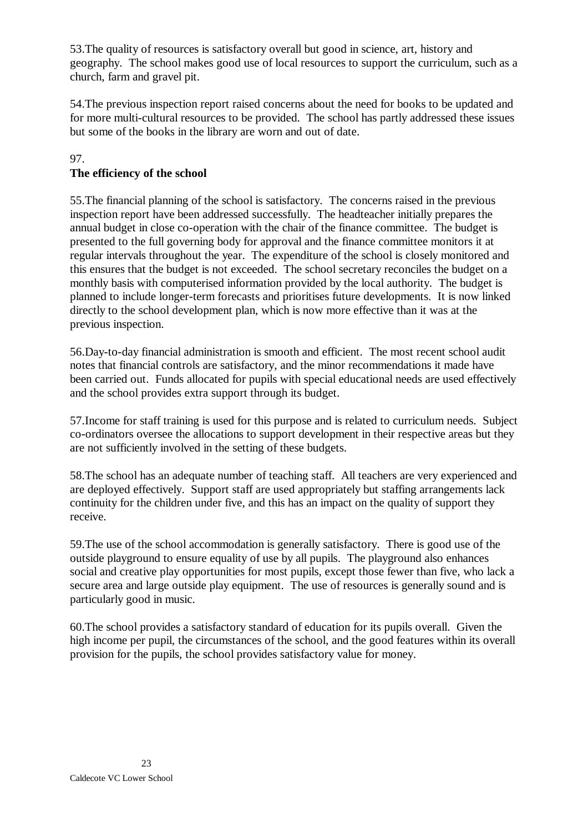53.The quality of resources is satisfactory overall but good in science, art, history and geography. The school makes good use of local resources to support the curriculum, such as a church, farm and gravel pit.

54.The previous inspection report raised concerns about the need for books to be updated and for more multi-cultural resources to be provided. The school has partly addressed these issues but some of the books in the library are worn and out of date.

#### 97. **The efficiency of the school**

55.The financial planning of the school is satisfactory. The concerns raised in the previous inspection report have been addressed successfully. The headteacher initially prepares the annual budget in close co-operation with the chair of the finance committee. The budget is presented to the full governing body for approval and the finance committee monitors it at regular intervals throughout the year. The expenditure of the school is closely monitored and this ensures that the budget is not exceeded. The school secretary reconciles the budget on a monthly basis with computerised information provided by the local authority. The budget is planned to include longer-term forecasts and prioritises future developments. It is now linked directly to the school development plan, which is now more effective than it was at the previous inspection.

56.Day-to-day financial administration is smooth and efficient. The most recent school audit notes that financial controls are satisfactory, and the minor recommendations it made have been carried out. Funds allocated for pupils with special educational needs are used effectively and the school provides extra support through its budget.

57.Income for staff training is used for this purpose and is related to curriculum needs. Subject co-ordinators oversee the allocations to support development in their respective areas but they are not sufficiently involved in the setting of these budgets.

58.The school has an adequate number of teaching staff. All teachers are very experienced and are deployed effectively. Support staff are used appropriately but staffing arrangements lack continuity for the children under five, and this has an impact on the quality of support they receive.

59.The use of the school accommodation is generally satisfactory. There is good use of the outside playground to ensure equality of use by all pupils. The playground also enhances social and creative play opportunities for most pupils, except those fewer than five, who lack a secure area and large outside play equipment. The use of resources is generally sound and is particularly good in music.

60.The school provides a satisfactory standard of education for its pupils overall. Given the high income per pupil, the circumstances of the school, and the good features within its overall provision for the pupils, the school provides satisfactory value for money.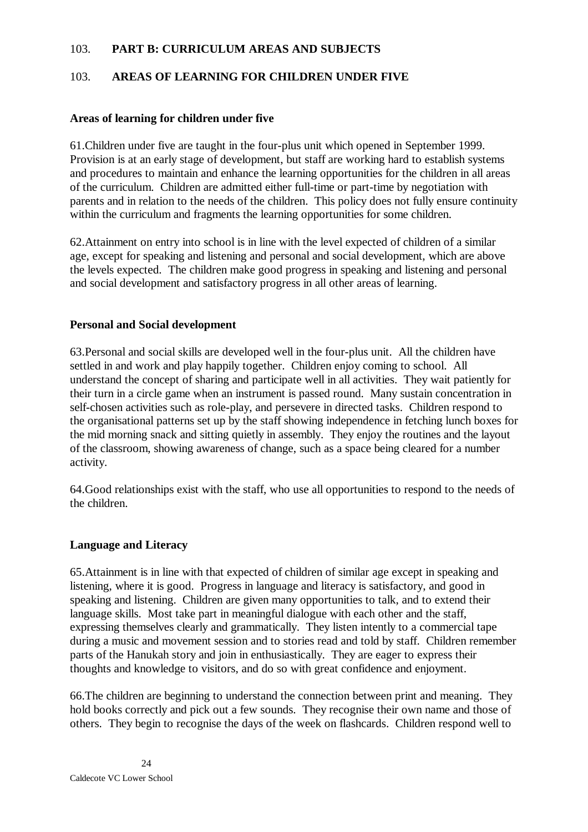#### 103. **PART B: CURRICULUM AREAS AND SUBJECTS**

### 103. **AREAS OF LEARNING FOR CHILDREN UNDER FIVE**

#### **Areas of learning for children under five**

61.Children under five are taught in the four-plus unit which opened in September 1999. Provision is at an early stage of development, but staff are working hard to establish systems and procedures to maintain and enhance the learning opportunities for the children in all areas of the curriculum. Children are admitted either full-time or part-time by negotiation with parents and in relation to the needs of the children. This policy does not fully ensure continuity within the curriculum and fragments the learning opportunities for some children.

62.Attainment on entry into school is in line with the level expected of children of a similar age, except for speaking and listening and personal and social development, which are above the levels expected. The children make good progress in speaking and listening and personal and social development and satisfactory progress in all other areas of learning.

#### **Personal and Social development**

63.Personal and social skills are developed well in the four-plus unit. All the children have settled in and work and play happily together. Children enjoy coming to school. All understand the concept of sharing and participate well in all activities. They wait patiently for their turn in a circle game when an instrument is passed round. Many sustain concentration in self-chosen activities such as role-play, and persevere in directed tasks. Children respond to the organisational patterns set up by the staff showing independence in fetching lunch boxes for the mid morning snack and sitting quietly in assembly. They enjoy the routines and the layout of the classroom, showing awareness of change, such as a space being cleared for a number activity.

64.Good relationships exist with the staff, who use all opportunities to respond to the needs of the children.

#### **Language and Literacy**

65.Attainment is in line with that expected of children of similar age except in speaking and listening, where it is good. Progress in language and literacy is satisfactory, and good in speaking and listening. Children are given many opportunities to talk, and to extend their language skills. Most take part in meaningful dialogue with each other and the staff, expressing themselves clearly and grammatically. They listen intently to a commercial tape during a music and movement session and to stories read and told by staff. Children remember parts of the Hanukah story and join in enthusiastically. They are eager to express their thoughts and knowledge to visitors, and do so with great confidence and enjoyment.

66.The children are beginning to understand the connection between print and meaning. They hold books correctly and pick out a few sounds. They recognise their own name and those of others. They begin to recognise the days of the week on flashcards. Children respond well to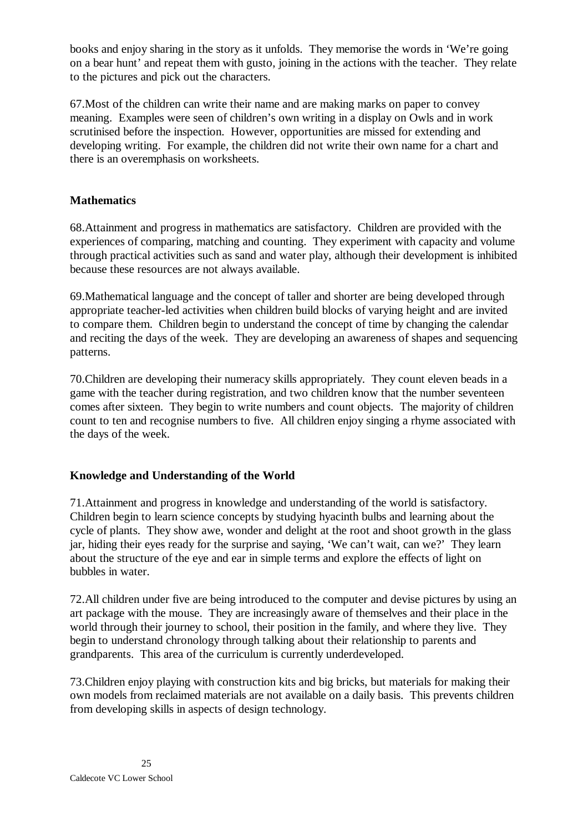books and enjoy sharing in the story as it unfolds. They memorise the words in 'We're going on a bear hunt' and repeat them with gusto, joining in the actions with the teacher. They relate to the pictures and pick out the characters.

67.Most of the children can write their name and are making marks on paper to convey meaning. Examples were seen of children's own writing in a display on Owls and in work scrutinised before the inspection. However, opportunities are missed for extending and developing writing. For example, the children did not write their own name for a chart and there is an overemphasis on worksheets.

# **Mathematics**

68.Attainment and progress in mathematics are satisfactory. Children are provided with the experiences of comparing, matching and counting. They experiment with capacity and volume through practical activities such as sand and water play, although their development is inhibited because these resources are not always available.

69.Mathematical language and the concept of taller and shorter are being developed through appropriate teacher-led activities when children build blocks of varying height and are invited to compare them. Children begin to understand the concept of time by changing the calendar and reciting the days of the week. They are developing an awareness of shapes and sequencing patterns.

70.Children are developing their numeracy skills appropriately. They count eleven beads in a game with the teacher during registration, and two children know that the number seventeen comes after sixteen. They begin to write numbers and count objects. The majority of children count to ten and recognise numbers to five. All children enjoy singing a rhyme associated with the days of the week.

# **Knowledge and Understanding of the World**

71.Attainment and progress in knowledge and understanding of the world is satisfactory. Children begin to learn science concepts by studying hyacinth bulbs and learning about the cycle of plants. They show awe, wonder and delight at the root and shoot growth in the glass jar, hiding their eyes ready for the surprise and saying, 'We can't wait, can we?' They learn about the structure of the eye and ear in simple terms and explore the effects of light on bubbles in water.

72.All children under five are being introduced to the computer and devise pictures by using an art package with the mouse. They are increasingly aware of themselves and their place in the world through their journey to school, their position in the family, and where they live. They begin to understand chronology through talking about their relationship to parents and grandparents. This area of the curriculum is currently underdeveloped.

73.Children enjoy playing with construction kits and big bricks, but materials for making their own models from reclaimed materials are not available on a daily basis. This prevents children from developing skills in aspects of design technology.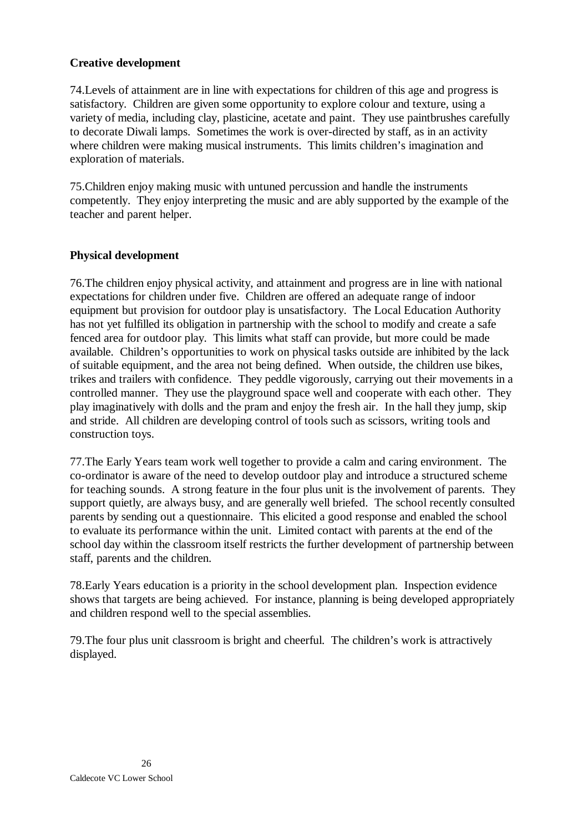### **Creative development**

74.Levels of attainment are in line with expectations for children of this age and progress is satisfactory. Children are given some opportunity to explore colour and texture, using a variety of media, including clay, plasticine, acetate and paint. They use paintbrushes carefully to decorate Diwali lamps. Sometimes the work is over-directed by staff, as in an activity where children were making musical instruments. This limits children's imagination and exploration of materials.

75.Children enjoy making music with untuned percussion and handle the instruments competently. They enjoy interpreting the music and are ably supported by the example of the teacher and parent helper.

#### **Physical development**

76.The children enjoy physical activity, and attainment and progress are in line with national expectations for children under five. Children are offered an adequate range of indoor equipment but provision for outdoor play is unsatisfactory. The Local Education Authority has not yet fulfilled its obligation in partnership with the school to modify and create a safe fenced area for outdoor play. This limits what staff can provide, but more could be made available. Children's opportunities to work on physical tasks outside are inhibited by the lack of suitable equipment, and the area not being defined. When outside, the children use bikes, trikes and trailers with confidence. They peddle vigorously, carrying out their movements in a controlled manner. They use the playground space well and cooperate with each other. They play imaginatively with dolls and the pram and enjoy the fresh air. In the hall they jump, skip and stride. All children are developing control of tools such as scissors, writing tools and construction toys.

77.The Early Years team work well together to provide a calm and caring environment. The co-ordinator is aware of the need to develop outdoor play and introduce a structured scheme for teaching sounds. A strong feature in the four plus unit is the involvement of parents. They support quietly, are always busy, and are generally well briefed. The school recently consulted parents by sending out a questionnaire. This elicited a good response and enabled the school to evaluate its performance within the unit. Limited contact with parents at the end of the school day within the classroom itself restricts the further development of partnership between staff, parents and the children.

78.Early Years education is a priority in the school development plan. Inspection evidence shows that targets are being achieved. For instance, planning is being developed appropriately and children respond well to the special assemblies.

79.The four plus unit classroom is bright and cheerful. The children's work is attractively displayed.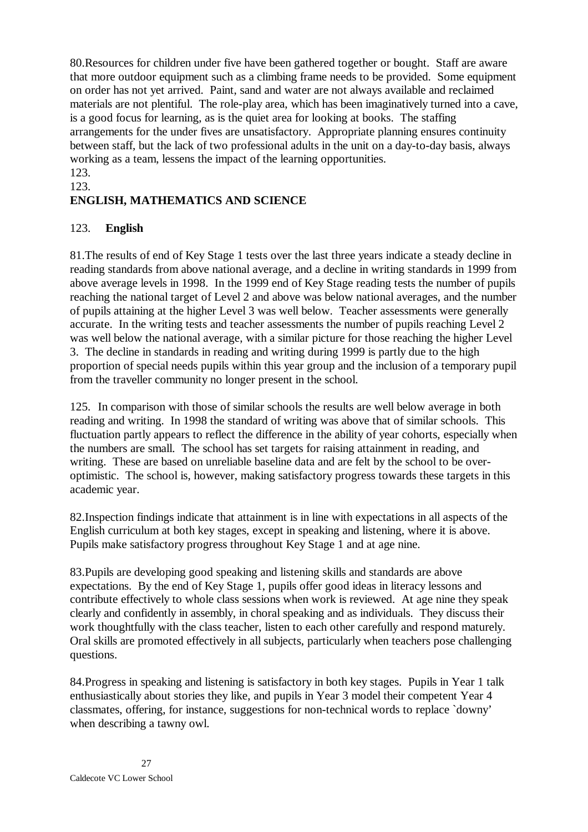80.Resources for children under five have been gathered together or bought. Staff are aware that more outdoor equipment such as a climbing frame needs to be provided. Some equipment on order has not yet arrived. Paint, sand and water are not always available and reclaimed materials are not plentiful. The role-play area, which has been imaginatively turned into a cave, is a good focus for learning, as is the quiet area for looking at books. The staffing arrangements for the under fives are unsatisfactory. Appropriate planning ensures continuity between staff, but the lack of two professional adults in the unit on a day-to-day basis, always working as a team, lessens the impact of the learning opportunities.

#### 123. 123.

# **ENGLISH, MATHEMATICS AND SCIENCE**

### 123. **English**

81.The results of end of Key Stage 1 tests over the last three years indicate a steady decline in reading standards from above national average, and a decline in writing standards in 1999 from above average levels in 1998. In the 1999 end of Key Stage reading tests the number of pupils reaching the national target of Level 2 and above was below national averages, and the number of pupils attaining at the higher Level 3 was well below. Teacher assessments were generally accurate. In the writing tests and teacher assessments the number of pupils reaching Level 2 was well below the national average, with a similar picture for those reaching the higher Level 3. The decline in standards in reading and writing during 1999 is partly due to the high proportion of special needs pupils within this year group and the inclusion of a temporary pupil from the traveller community no longer present in the school.

125. In comparison with those of similar schools the results are well below average in both reading and writing. In 1998 the standard of writing was above that of similar schools. This fluctuation partly appears to reflect the difference in the ability of year cohorts, especially when the numbers are small. The school has set targets for raising attainment in reading, and writing. These are based on unreliable baseline data and are felt by the school to be overoptimistic. The school is, however, making satisfactory progress towards these targets in this academic year.

82.Inspection findings indicate that attainment is in line with expectations in all aspects of the English curriculum at both key stages, except in speaking and listening, where it is above. Pupils make satisfactory progress throughout Key Stage 1 and at age nine.

83.Pupils are developing good speaking and listening skills and standards are above expectations. By the end of Key Stage 1, pupils offer good ideas in literacy lessons and contribute effectively to whole class sessions when work is reviewed. At age nine they speak clearly and confidently in assembly, in choral speaking and as individuals. They discuss their work thoughtfully with the class teacher, listen to each other carefully and respond maturely. Oral skills are promoted effectively in all subjects, particularly when teachers pose challenging questions.

84.Progress in speaking and listening is satisfactory in both key stages. Pupils in Year 1 talk enthusiastically about stories they like, and pupils in Year 3 model their competent Year 4 classmates, offering, for instance, suggestions for non-technical words to replace `downy' when describing a tawny owl.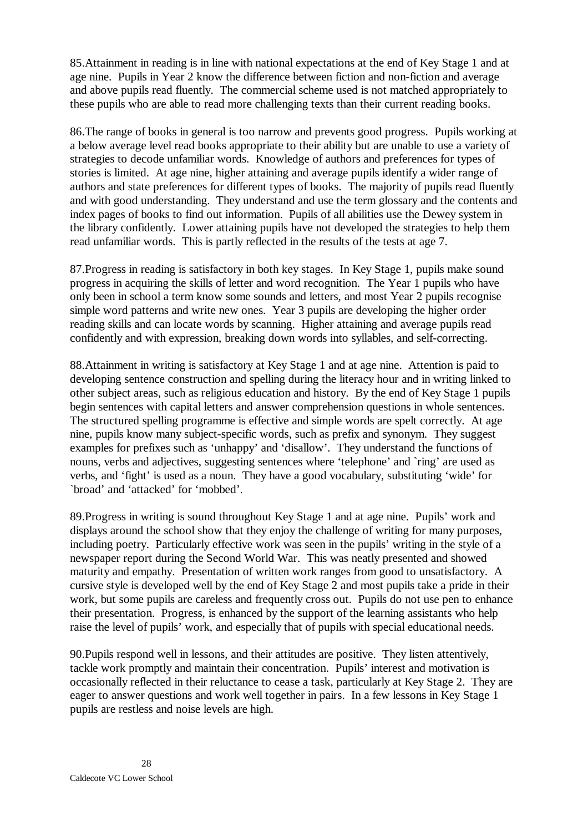85.Attainment in reading is in line with national expectations at the end of Key Stage 1 and at age nine. Pupils in Year 2 know the difference between fiction and non-fiction and average and above pupils read fluently. The commercial scheme used is not matched appropriately to these pupils who are able to read more challenging texts than their current reading books.

86.The range of books in general is too narrow and prevents good progress. Pupils working at a below average level read books appropriate to their ability but are unable to use a variety of strategies to decode unfamiliar words. Knowledge of authors and preferences for types of stories is limited. At age nine, higher attaining and average pupils identify a wider range of authors and state preferences for different types of books. The majority of pupils read fluently and with good understanding. They understand and use the term glossary and the contents and index pages of books to find out information. Pupils of all abilities use the Dewey system in the library confidently. Lower attaining pupils have not developed the strategies to help them read unfamiliar words. This is partly reflected in the results of the tests at age 7.

87.Progress in reading is satisfactory in both key stages. In Key Stage 1, pupils make sound progress in acquiring the skills of letter and word recognition. The Year 1 pupils who have only been in school a term know some sounds and letters, and most Year 2 pupils recognise simple word patterns and write new ones. Year 3 pupils are developing the higher order reading skills and can locate words by scanning. Higher attaining and average pupils read confidently and with expression, breaking down words into syllables, and self-correcting.

88.Attainment in writing is satisfactory at Key Stage 1 and at age nine. Attention is paid to developing sentence construction and spelling during the literacy hour and in writing linked to other subject areas, such as religious education and history. By the end of Key Stage 1 pupils begin sentences with capital letters and answer comprehension questions in whole sentences. The structured spelling programme is effective and simple words are spelt correctly. At age nine, pupils know many subject-specific words, such as prefix and synonym. They suggest examples for prefixes such as 'unhappy' and 'disallow'. They understand the functions of nouns, verbs and adjectives, suggesting sentences where 'telephone' and 'ring' are used as verbs, and 'fight' is used as a noun. They have a good vocabulary, substituting 'wide' for `broad' and 'attacked' for 'mobbed'.

89.Progress in writing is sound throughout Key Stage 1 and at age nine. Pupils' work and displays around the school show that they enjoy the challenge of writing for many purposes, including poetry. Particularly effective work was seen in the pupils' writing in the style of a newspaper report during the Second World War. This was neatly presented and showed maturity and empathy. Presentation of written work ranges from good to unsatisfactory. A cursive style is developed well by the end of Key Stage 2 and most pupils take a pride in their work, but some pupils are careless and frequently cross out. Pupils do not use pen to enhance their presentation. Progress, is enhanced by the support of the learning assistants who help raise the level of pupils' work, and especially that of pupils with special educational needs.

90.Pupils respond well in lessons, and their attitudes are positive. They listen attentively, tackle work promptly and maintain their concentration. Pupils' interest and motivation is occasionally reflected in their reluctance to cease a task, particularly at Key Stage 2. They are eager to answer questions and work well together in pairs. In a few lessons in Key Stage 1 pupils are restless and noise levels are high.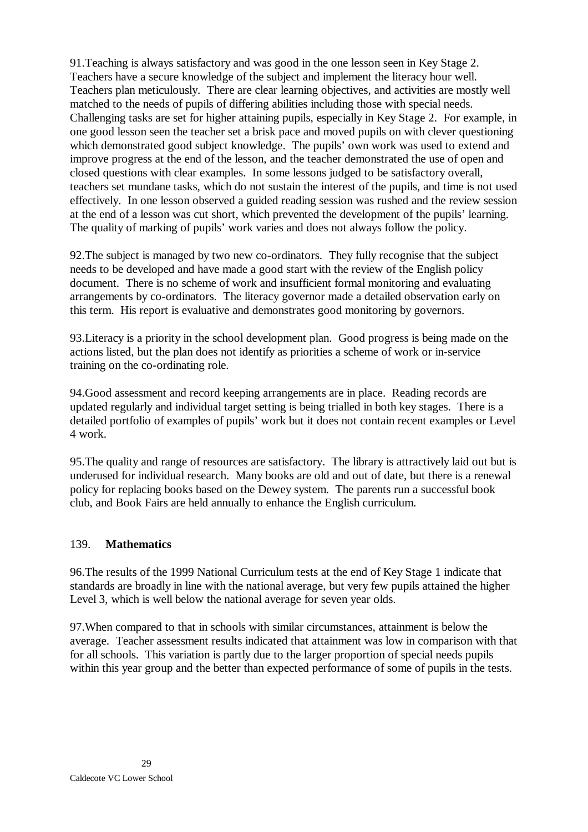91.Teaching is always satisfactory and was good in the one lesson seen in Key Stage 2. Teachers have a secure knowledge of the subject and implement the literacy hour well. Teachers plan meticulously. There are clear learning objectives, and activities are mostly well matched to the needs of pupils of differing abilities including those with special needs. Challenging tasks are set for higher attaining pupils, especially in Key Stage 2. For example, in one good lesson seen the teacher set a brisk pace and moved pupils on with clever questioning which demonstrated good subject knowledge. The pupils' own work was used to extend and improve progress at the end of the lesson, and the teacher demonstrated the use of open and closed questions with clear examples. In some lessons judged to be satisfactory overall, teachers set mundane tasks, which do not sustain the interest of the pupils, and time is not used effectively. In one lesson observed a guided reading session was rushed and the review session at the end of a lesson was cut short, which prevented the development of the pupils' learning. The quality of marking of pupils' work varies and does not always follow the policy.

92.The subject is managed by two new co-ordinators. They fully recognise that the subject needs to be developed and have made a good start with the review of the English policy document. There is no scheme of work and insufficient formal monitoring and evaluating arrangements by co-ordinators. The literacy governor made a detailed observation early on this term. His report is evaluative and demonstrates good monitoring by governors.

93.Literacy is a priority in the school development plan. Good progress is being made on the actions listed, but the plan does not identify as priorities a scheme of work or in-service training on the co-ordinating role.

94.Good assessment and record keeping arrangements are in place. Reading records are updated regularly and individual target setting is being trialled in both key stages. There is a detailed portfolio of examples of pupils' work but it does not contain recent examples or Level 4 work.

95.The quality and range of resources are satisfactory. The library is attractively laid out but is underused for individual research. Many books are old and out of date, but there is a renewal policy for replacing books based on the Dewey system. The parents run a successful book club, and Book Fairs are held annually to enhance the English curriculum.

#### 139. **Mathematics**

96.The results of the 1999 National Curriculum tests at the end of Key Stage 1 indicate that standards are broadly in line with the national average, but very few pupils attained the higher Level 3, which is well below the national average for seven year olds.

97.When compared to that in schools with similar circumstances, attainment is below the average. Teacher assessment results indicated that attainment was low in comparison with that for all schools. This variation is partly due to the larger proportion of special needs pupils within this year group and the better than expected performance of some of pupils in the tests.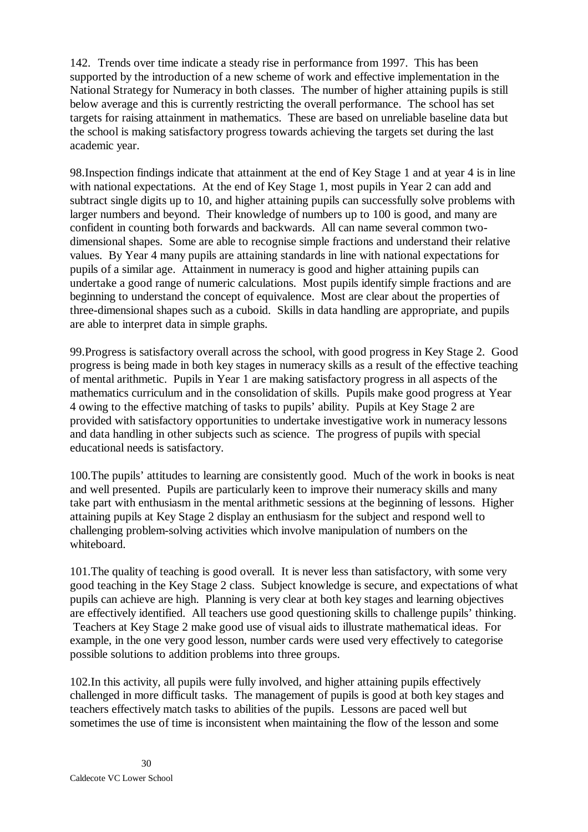142. Trends over time indicate a steady rise in performance from 1997. This has been supported by the introduction of a new scheme of work and effective implementation in the National Strategy for Numeracy in both classes. The number of higher attaining pupils is still below average and this is currently restricting the overall performance. The school has set targets for raising attainment in mathematics. These are based on unreliable baseline data but the school is making satisfactory progress towards achieving the targets set during the last academic year.

98.Inspection findings indicate that attainment at the end of Key Stage 1 and at year 4 is in line with national expectations. At the end of Key Stage 1, most pupils in Year 2 can add and subtract single digits up to 10, and higher attaining pupils can successfully solve problems with larger numbers and beyond. Their knowledge of numbers up to 100 is good, and many are confident in counting both forwards and backwards. All can name several common twodimensional shapes. Some are able to recognise simple fractions and understand their relative values. By Year 4 many pupils are attaining standards in line with national expectations for pupils of a similar age. Attainment in numeracy is good and higher attaining pupils can undertake a good range of numeric calculations. Most pupils identify simple fractions and are beginning to understand the concept of equivalence. Most are clear about the properties of three-dimensional shapes such as a cuboid. Skills in data handling are appropriate, and pupils are able to interpret data in simple graphs.

99.Progress is satisfactory overall across the school, with good progress in Key Stage 2. Good progress is being made in both key stages in numeracy skills as a result of the effective teaching of mental arithmetic. Pupils in Year 1 are making satisfactory progress in all aspects of the mathematics curriculum and in the consolidation of skills. Pupils make good progress at Year 4 owing to the effective matching of tasks to pupils' ability. Pupils at Key Stage 2 are provided with satisfactory opportunities to undertake investigative work in numeracy lessons and data handling in other subjects such as science. The progress of pupils with special educational needs is satisfactory.

100.The pupils' attitudes to learning are consistently good. Much of the work in books is neat and well presented. Pupils are particularly keen to improve their numeracy skills and many take part with enthusiasm in the mental arithmetic sessions at the beginning of lessons. Higher attaining pupils at Key Stage 2 display an enthusiasm for the subject and respond well to challenging problem-solving activities which involve manipulation of numbers on the whiteboard.

101.The quality of teaching is good overall. It is never less than satisfactory, with some very good teaching in the Key Stage 2 class. Subject knowledge is secure, and expectations of what pupils can achieve are high. Planning is very clear at both key stages and learning objectives are effectively identified. All teachers use good questioning skills to challenge pupils' thinking. Teachers at Key Stage 2 make good use of visual aids to illustrate mathematical ideas. For example, in the one very good lesson, number cards were used very effectively to categorise possible solutions to addition problems into three groups.

102.In this activity, all pupils were fully involved, and higher attaining pupils effectively challenged in more difficult tasks. The management of pupils is good at both key stages and teachers effectively match tasks to abilities of the pupils. Lessons are paced well but sometimes the use of time is inconsistent when maintaining the flow of the lesson and some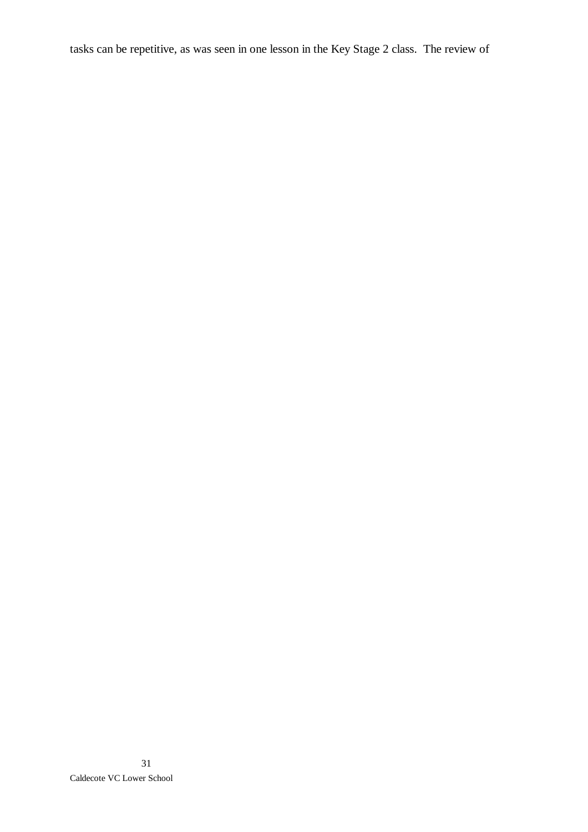tasks can be repetitive, as was seen in one lesson in the Key Stage 2 class. The review of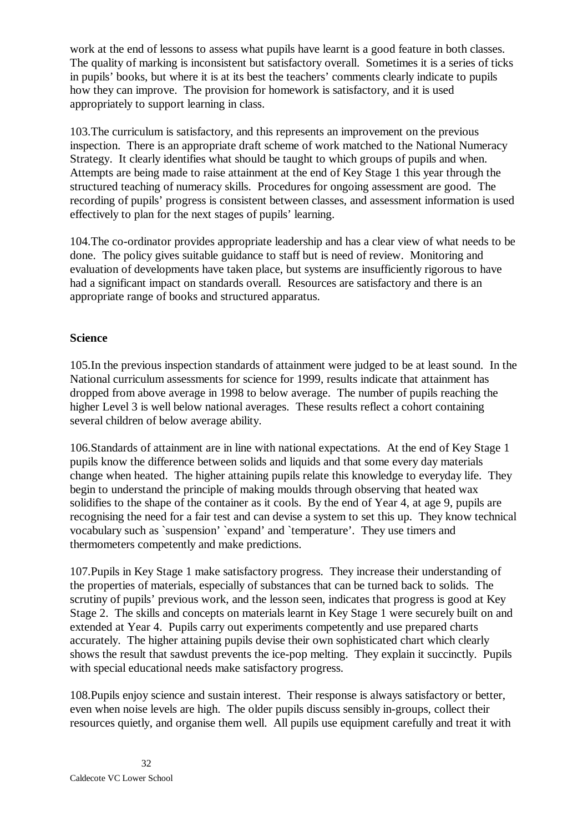work at the end of lessons to assess what pupils have learnt is a good feature in both classes. The quality of marking is inconsistent but satisfactory overall. Sometimes it is a series of ticks in pupils' books, but where it is at its best the teachers' comments clearly indicate to pupils how they can improve. The provision for homework is satisfactory, and it is used appropriately to support learning in class.

103.The curriculum is satisfactory, and this represents an improvement on the previous inspection. There is an appropriate draft scheme of work matched to the National Numeracy Strategy. It clearly identifies what should be taught to which groups of pupils and when. Attempts are being made to raise attainment at the end of Key Stage 1 this year through the structured teaching of numeracy skills. Procedures for ongoing assessment are good. The recording of pupils' progress is consistent between classes, and assessment information is used effectively to plan for the next stages of pupils' learning.

104.The co-ordinator provides appropriate leadership and has a clear view of what needs to be done. The policy gives suitable guidance to staff but is need of review. Monitoring and evaluation of developments have taken place, but systems are insufficiently rigorous to have had a significant impact on standards overall. Resources are satisfactory and there is an appropriate range of books and structured apparatus.

#### **Science**

105.In the previous inspection standards of attainment were judged to be at least sound. In the National curriculum assessments for science for 1999, results indicate that attainment has dropped from above average in 1998 to below average. The number of pupils reaching the higher Level 3 is well below national averages. These results reflect a cohort containing several children of below average ability.

106.Standards of attainment are in line with national expectations. At the end of Key Stage 1 pupils know the difference between solids and liquids and that some every day materials change when heated. The higher attaining pupils relate this knowledge to everyday life. They begin to understand the principle of making moulds through observing that heated wax solidifies to the shape of the container as it cools. By the end of Year 4, at age 9, pupils are recognising the need for a fair test and can devise a system to set this up. They know technical vocabulary such as `suspension' `expand' and `temperature'. They use timers and thermometers competently and make predictions.

107.Pupils in Key Stage 1 make satisfactory progress. They increase their understanding of the properties of materials, especially of substances that can be turned back to solids. The scrutiny of pupils' previous work, and the lesson seen, indicates that progress is good at Key Stage 2. The skills and concepts on materials learnt in Key Stage 1 were securely built on and extended at Year 4. Pupils carry out experiments competently and use prepared charts accurately. The higher attaining pupils devise their own sophisticated chart which clearly shows the result that sawdust prevents the ice-pop melting. They explain it succinctly. Pupils with special educational needs make satisfactory progress.

108.Pupils enjoy science and sustain interest. Their response is always satisfactory or better, even when noise levels are high. The older pupils discuss sensibly in-groups, collect their resources quietly, and organise them well. All pupils use equipment carefully and treat it with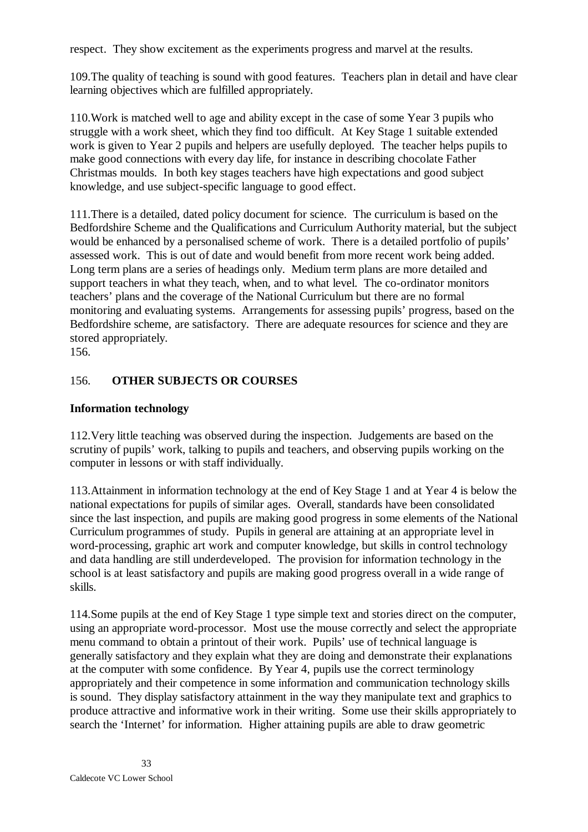respect. They show excitement as the experiments progress and marvel at the results.

109.The quality of teaching is sound with good features. Teachers plan in detail and have clear learning objectives which are fulfilled appropriately.

110.Work is matched well to age and ability except in the case of some Year 3 pupils who struggle with a work sheet, which they find too difficult. At Key Stage 1 suitable extended work is given to Year 2 pupils and helpers are usefully deployed. The teacher helps pupils to make good connections with every day life, for instance in describing chocolate Father Christmas moulds. In both key stages teachers have high expectations and good subject knowledge, and use subject-specific language to good effect.

111.There is a detailed, dated policy document for science. The curriculum is based on the Bedfordshire Scheme and the Qualifications and Curriculum Authority material, but the subject would be enhanced by a personalised scheme of work. There is a detailed portfolio of pupils' assessed work. This is out of date and would benefit from more recent work being added. Long term plans are a series of headings only. Medium term plans are more detailed and support teachers in what they teach, when, and to what level. The co-ordinator monitors teachers' plans and the coverage of the National Curriculum but there are no formal monitoring and evaluating systems. Arrangements for assessing pupils' progress, based on the Bedfordshire scheme, are satisfactory. There are adequate resources for science and they are stored appropriately.

156.

#### 156. **OTHER SUBJECTS OR COURSES**

#### **Information technology**

112.Very little teaching was observed during the inspection. Judgements are based on the scrutiny of pupils' work, talking to pupils and teachers, and observing pupils working on the computer in lessons or with staff individually.

113.Attainment in information technology at the end of Key Stage 1 and at Year 4 is below the national expectations for pupils of similar ages. Overall, standards have been consolidated since the last inspection, and pupils are making good progress in some elements of the National Curriculum programmes of study. Pupils in general are attaining at an appropriate level in word-processing, graphic art work and computer knowledge, but skills in control technology and data handling are still underdeveloped. The provision for information technology in the school is at least satisfactory and pupils are making good progress overall in a wide range of skills.

114.Some pupils at the end of Key Stage 1 type simple text and stories direct on the computer, using an appropriate word-processor. Most use the mouse correctly and select the appropriate menu command to obtain a printout of their work. Pupils' use of technical language is generally satisfactory and they explain what they are doing and demonstrate their explanations at the computer with some confidence. By Year 4, pupils use the correct terminology appropriately and their competence in some information and communication technology skills is sound. They display satisfactory attainment in the way they manipulate text and graphics to produce attractive and informative work in their writing. Some use their skills appropriately to search the 'Internet' for information. Higher attaining pupils are able to draw geometric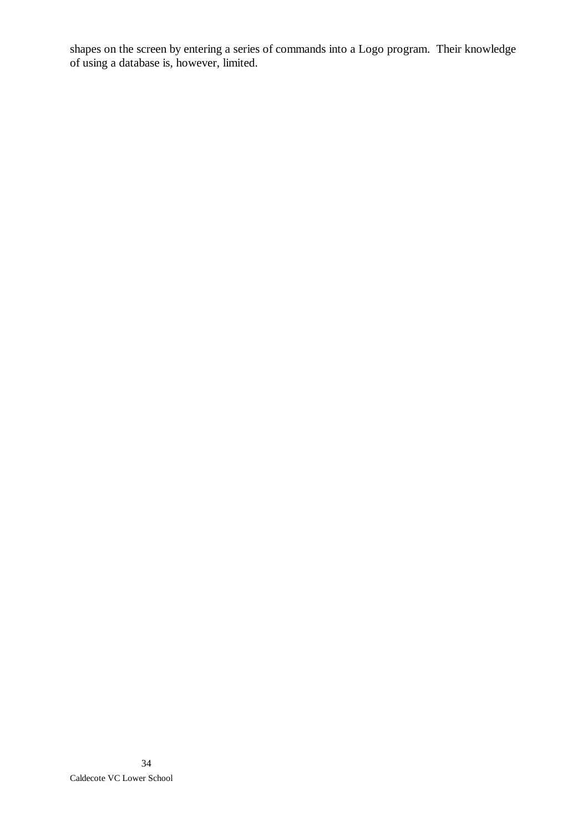shapes on the screen by entering a series of commands into a Logo program. Their knowledge of using a database is, however, limited.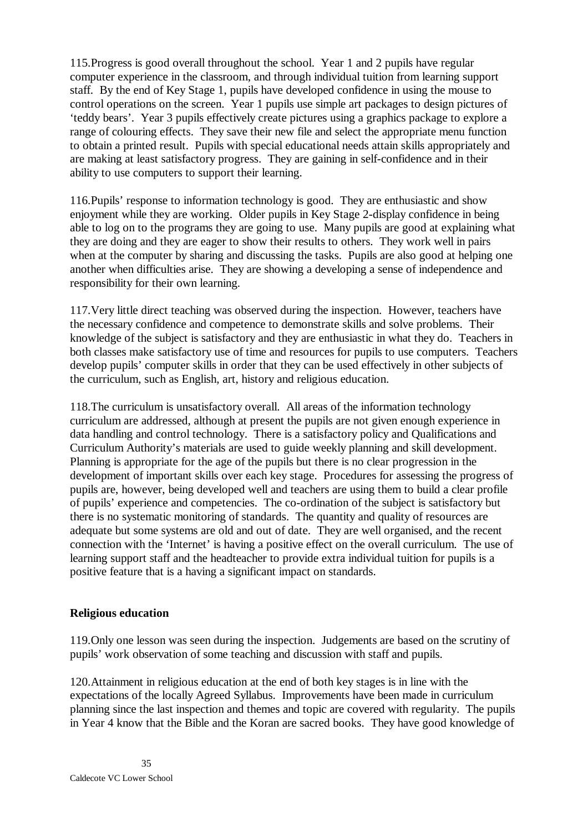115.Progress is good overall throughout the school. Year 1 and 2 pupils have regular computer experience in the classroom, and through individual tuition from learning support staff. By the end of Key Stage 1, pupils have developed confidence in using the mouse to control operations on the screen. Year 1 pupils use simple art packages to design pictures of 'teddy bears'. Year 3 pupils effectively create pictures using a graphics package to explore a range of colouring effects. They save their new file and select the appropriate menu function to obtain a printed result. Pupils with special educational needs attain skills appropriately and are making at least satisfactory progress. They are gaining in self-confidence and in their ability to use computers to support their learning.

116.Pupils' response to information technology is good. They are enthusiastic and show enjoyment while they are working. Older pupils in Key Stage 2-display confidence in being able to log on to the programs they are going to use. Many pupils are good at explaining what they are doing and they are eager to show their results to others. They work well in pairs when at the computer by sharing and discussing the tasks. Pupils are also good at helping one another when difficulties arise. They are showing a developing a sense of independence and responsibility for their own learning.

117.Very little direct teaching was observed during the inspection. However, teachers have the necessary confidence and competence to demonstrate skills and solve problems. Their knowledge of the subject is satisfactory and they are enthusiastic in what they do. Teachers in both classes make satisfactory use of time and resources for pupils to use computers. Teachers develop pupils' computer skills in order that they can be used effectively in other subjects of the curriculum, such as English, art, history and religious education.

118.The curriculum is unsatisfactory overall. All areas of the information technology curriculum are addressed, although at present the pupils are not given enough experience in data handling and control technology. There is a satisfactory policy and Qualifications and Curriculum Authority's materials are used to guide weekly planning and skill development. Planning is appropriate for the age of the pupils but there is no clear progression in the development of important skills over each key stage. Procedures for assessing the progress of pupils are, however, being developed well and teachers are using them to build a clear profile of pupils' experience and competencies. The co-ordination of the subject is satisfactory but there is no systematic monitoring of standards. The quantity and quality of resources are adequate but some systems are old and out of date. They are well organised, and the recent connection with the 'Internet' is having a positive effect on the overall curriculum. The use of learning support staff and the headteacher to provide extra individual tuition for pupils is a positive feature that is a having a significant impact on standards.

#### **Religious education**

119.Only one lesson was seen during the inspection. Judgements are based on the scrutiny of pupils' work observation of some teaching and discussion with staff and pupils.

120.Attainment in religious education at the end of both key stages is in line with the expectations of the locally Agreed Syllabus. Improvements have been made in curriculum planning since the last inspection and themes and topic are covered with regularity. The pupils in Year 4 know that the Bible and the Koran are sacred books. They have good knowledge of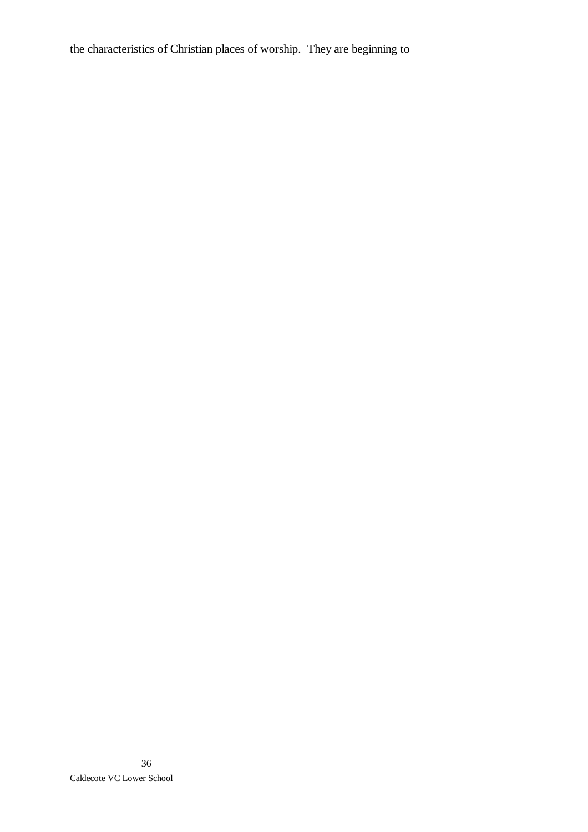the characteristics of Christian places of worship. They are beginning to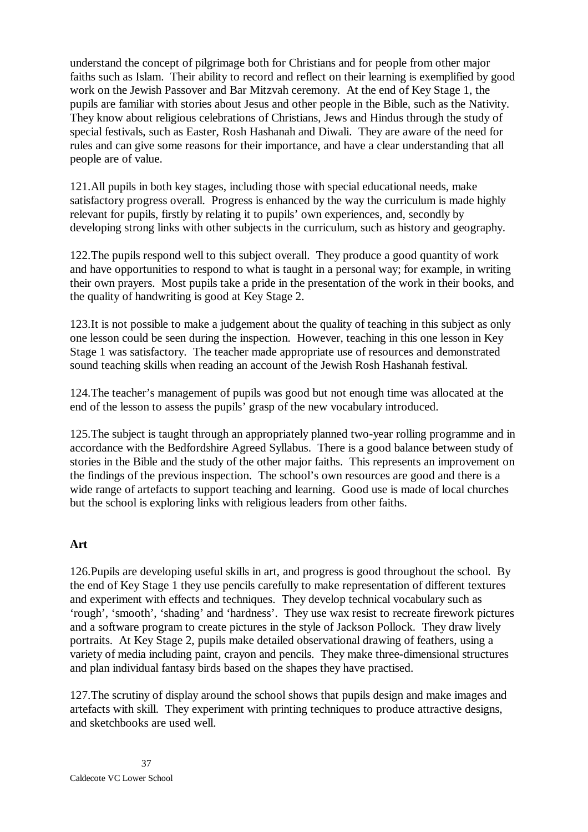understand the concept of pilgrimage both for Christians and for people from other major faiths such as Islam. Their ability to record and reflect on their learning is exemplified by good work on the Jewish Passover and Bar Mitzvah ceremony. At the end of Key Stage 1, the pupils are familiar with stories about Jesus and other people in the Bible, such as the Nativity. They know about religious celebrations of Christians, Jews and Hindus through the study of special festivals, such as Easter, Rosh Hashanah and Diwali. They are aware of the need for rules and can give some reasons for their importance, and have a clear understanding that all people are of value.

121.All pupils in both key stages, including those with special educational needs, make satisfactory progress overall. Progress is enhanced by the way the curriculum is made highly relevant for pupils, firstly by relating it to pupils' own experiences, and, secondly by developing strong links with other subjects in the curriculum, such as history and geography.

122.The pupils respond well to this subject overall. They produce a good quantity of work and have opportunities to respond to what is taught in a personal way; for example, in writing their own prayers. Most pupils take a pride in the presentation of the work in their books, and the quality of handwriting is good at Key Stage 2.

123.It is not possible to make a judgement about the quality of teaching in this subject as only one lesson could be seen during the inspection. However, teaching in this one lesson in Key Stage 1 was satisfactory. The teacher made appropriate use of resources and demonstrated sound teaching skills when reading an account of the Jewish Rosh Hashanah festival.

124.The teacher's management of pupils was good but not enough time was allocated at the end of the lesson to assess the pupils' grasp of the new vocabulary introduced.

125.The subject is taught through an appropriately planned two-year rolling programme and in accordance with the Bedfordshire Agreed Syllabus. There is a good balance between study of stories in the Bible and the study of the other major faiths. This represents an improvement on the findings of the previous inspection. The school's own resources are good and there is a wide range of artefacts to support teaching and learning. Good use is made of local churches but the school is exploring links with religious leaders from other faiths.

#### **Art**

126.Pupils are developing useful skills in art, and progress is good throughout the school. By the end of Key Stage 1 they use pencils carefully to make representation of different textures and experiment with effects and techniques. They develop technical vocabulary such as 'rough', 'smooth', 'shading' and 'hardness'. They use wax resist to recreate firework pictures and a software program to create pictures in the style of Jackson Pollock. They draw lively portraits. At Key Stage 2, pupils make detailed observational drawing of feathers, using a variety of media including paint, crayon and pencils. They make three-dimensional structures and plan individual fantasy birds based on the shapes they have practised.

127.The scrutiny of display around the school shows that pupils design and make images and artefacts with skill. They experiment with printing techniques to produce attractive designs, and sketchbooks are used well.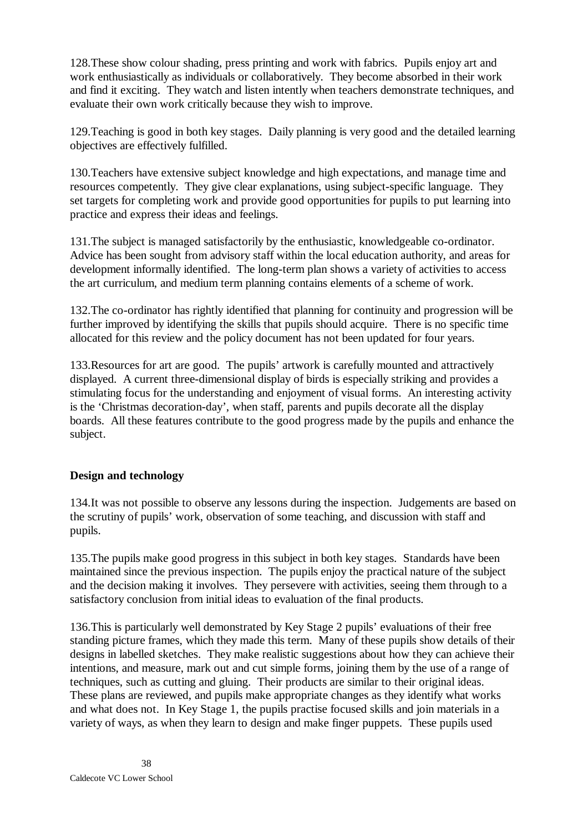128.These show colour shading, press printing and work with fabrics. Pupils enjoy art and work enthusiastically as individuals or collaboratively. They become absorbed in their work and find it exciting. They watch and listen intently when teachers demonstrate techniques, and evaluate their own work critically because they wish to improve.

129.Teaching is good in both key stages. Daily planning is very good and the detailed learning objectives are effectively fulfilled.

130.Teachers have extensive subject knowledge and high expectations, and manage time and resources competently. They give clear explanations, using subject-specific language. They set targets for completing work and provide good opportunities for pupils to put learning into practice and express their ideas and feelings.

131.The subject is managed satisfactorily by the enthusiastic, knowledgeable co-ordinator. Advice has been sought from advisory staff within the local education authority, and areas for development informally identified. The long-term plan shows a variety of activities to access the art curriculum, and medium term planning contains elements of a scheme of work.

132.The co-ordinator has rightly identified that planning for continuity and progression will be further improved by identifying the skills that pupils should acquire. There is no specific time allocated for this review and the policy document has not been updated for four years.

133.Resources for art are good. The pupils' artwork is carefully mounted and attractively displayed. A current three-dimensional display of birds is especially striking and provides a stimulating focus for the understanding and enjoyment of visual forms. An interesting activity is the 'Christmas decoration-day', when staff, parents and pupils decorate all the display boards. All these features contribute to the good progress made by the pupils and enhance the subject.

#### **Design and technology**

134.It was not possible to observe any lessons during the inspection. Judgements are based on the scrutiny of pupils' work, observation of some teaching, and discussion with staff and pupils.

135.The pupils make good progress in this subject in both key stages. Standards have been maintained since the previous inspection. The pupils enjoy the practical nature of the subject and the decision making it involves. They persevere with activities, seeing them through to a satisfactory conclusion from initial ideas to evaluation of the final products.

136.This is particularly well demonstrated by Key Stage 2 pupils' evaluations of their free standing picture frames, which they made this term. Many of these pupils show details of their designs in labelled sketches. They make realistic suggestions about how they can achieve their intentions, and measure, mark out and cut simple forms, joining them by the use of a range of techniques, such as cutting and gluing. Their products are similar to their original ideas. These plans are reviewed, and pupils make appropriate changes as they identify what works and what does not. In Key Stage 1, the pupils practise focused skills and join materials in a variety of ways, as when they learn to design and make finger puppets. These pupils used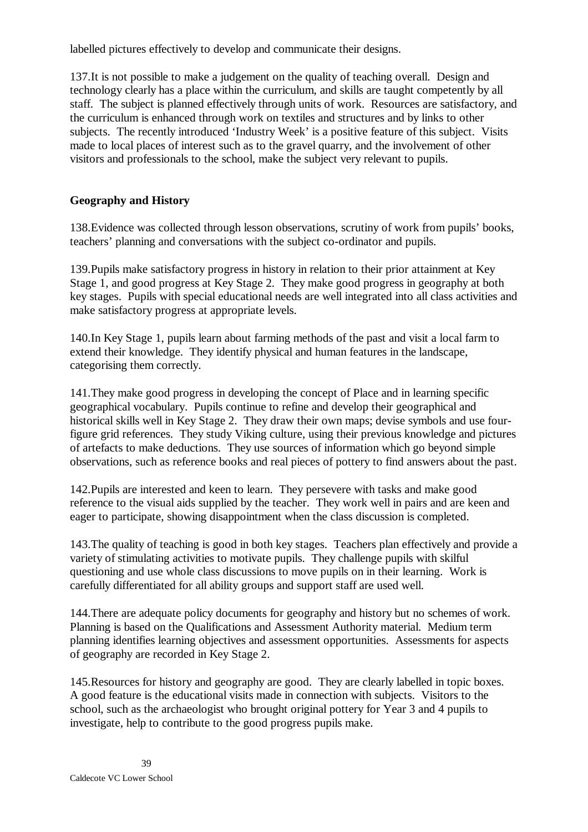labelled pictures effectively to develop and communicate their designs.

137.It is not possible to make a judgement on the quality of teaching overall. Design and technology clearly has a place within the curriculum, and skills are taught competently by all staff. The subject is planned effectively through units of work. Resources are satisfactory, and the curriculum is enhanced through work on textiles and structures and by links to other subjects. The recently introduced 'Industry Week' is a positive feature of this subject. Visits made to local places of interest such as to the gravel quarry, and the involvement of other visitors and professionals to the school, make the subject very relevant to pupils.

# **Geography and History**

138.Evidence was collected through lesson observations, scrutiny of work from pupils' books, teachers' planning and conversations with the subject co-ordinator and pupils.

139.Pupils make satisfactory progress in history in relation to their prior attainment at Key Stage 1, and good progress at Key Stage 2. They make good progress in geography at both key stages. Pupils with special educational needs are well integrated into all class activities and make satisfactory progress at appropriate levels.

140.In Key Stage 1, pupils learn about farming methods of the past and visit a local farm to extend their knowledge. They identify physical and human features in the landscape, categorising them correctly.

141.They make good progress in developing the concept of Place and in learning specific geographical vocabulary. Pupils continue to refine and develop their geographical and historical skills well in Key Stage 2. They draw their own maps; devise symbols and use fourfigure grid references. They study Viking culture, using their previous knowledge and pictures of artefacts to make deductions. They use sources of information which go beyond simple observations, such as reference books and real pieces of pottery to find answers about the past.

142.Pupils are interested and keen to learn. They persevere with tasks and make good reference to the visual aids supplied by the teacher. They work well in pairs and are keen and eager to participate, showing disappointment when the class discussion is completed.

143.The quality of teaching is good in both key stages. Teachers plan effectively and provide a variety of stimulating activities to motivate pupils. They challenge pupils with skilful questioning and use whole class discussions to move pupils on in their learning. Work is carefully differentiated for all ability groups and support staff are used well.

144.There are adequate policy documents for geography and history but no schemes of work. Planning is based on the Qualifications and Assessment Authority material. Medium term planning identifies learning objectives and assessment opportunities. Assessments for aspects of geography are recorded in Key Stage 2.

145.Resources for history and geography are good. They are clearly labelled in topic boxes. A good feature is the educational visits made in connection with subjects. Visitors to the school, such as the archaeologist who brought original pottery for Year 3 and 4 pupils to investigate, help to contribute to the good progress pupils make.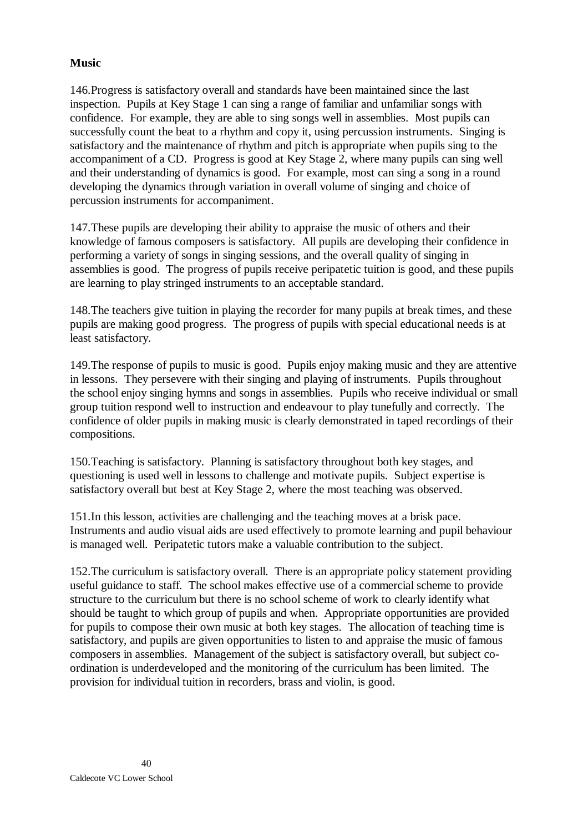# **Music**

146.Progress is satisfactory overall and standards have been maintained since the last inspection. Pupils at Key Stage 1 can sing a range of familiar and unfamiliar songs with confidence. For example, they are able to sing songs well in assemblies. Most pupils can successfully count the beat to a rhythm and copy it, using percussion instruments. Singing is satisfactory and the maintenance of rhythm and pitch is appropriate when pupils sing to the accompaniment of a CD. Progress is good at Key Stage 2, where many pupils can sing well and their understanding of dynamics is good. For example, most can sing a song in a round developing the dynamics through variation in overall volume of singing and choice of percussion instruments for accompaniment.

147.These pupils are developing their ability to appraise the music of others and their knowledge of famous composers is satisfactory. All pupils are developing their confidence in performing a variety of songs in singing sessions, and the overall quality of singing in assemblies is good. The progress of pupils receive peripatetic tuition is good, and these pupils are learning to play stringed instruments to an acceptable standard.

148.The teachers give tuition in playing the recorder for many pupils at break times, and these pupils are making good progress. The progress of pupils with special educational needs is at least satisfactory.

149.The response of pupils to music is good. Pupils enjoy making music and they are attentive in lessons. They persevere with their singing and playing of instruments. Pupils throughout the school enjoy singing hymns and songs in assemblies. Pupils who receive individual or small group tuition respond well to instruction and endeavour to play tunefully and correctly. The confidence of older pupils in making music is clearly demonstrated in taped recordings of their compositions.

150.Teaching is satisfactory. Planning is satisfactory throughout both key stages, and questioning is used well in lessons to challenge and motivate pupils. Subject expertise is satisfactory overall but best at Key Stage 2, where the most teaching was observed.

151.In this lesson, activities are challenging and the teaching moves at a brisk pace. Instruments and audio visual aids are used effectively to promote learning and pupil behaviour is managed well. Peripatetic tutors make a valuable contribution to the subject.

152.The curriculum is satisfactory overall. There is an appropriate policy statement providing useful guidance to staff. The school makes effective use of a commercial scheme to provide structure to the curriculum but there is no school scheme of work to clearly identify what should be taught to which group of pupils and when. Appropriate opportunities are provided for pupils to compose their own music at both key stages. The allocation of teaching time is satisfactory, and pupils are given opportunities to listen to and appraise the music of famous composers in assemblies. Management of the subject is satisfactory overall, but subject coordination is underdeveloped and the monitoring of the curriculum has been limited. The provision for individual tuition in recorders, brass and violin, is good.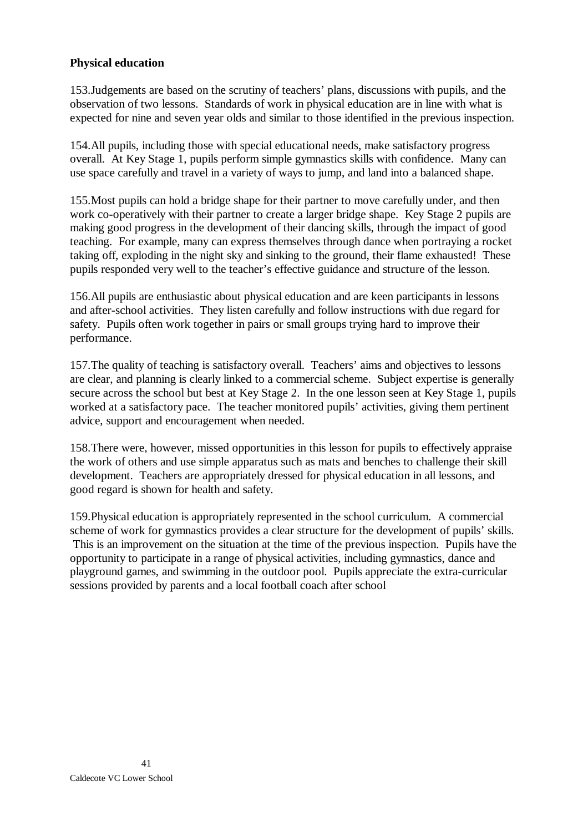#### **Physical education**

153.Judgements are based on the scrutiny of teachers' plans, discussions with pupils, and the observation of two lessons. Standards of work in physical education are in line with what is expected for nine and seven year olds and similar to those identified in the previous inspection.

154.All pupils, including those with special educational needs, make satisfactory progress overall. At Key Stage 1, pupils perform simple gymnastics skills with confidence. Many can use space carefully and travel in a variety of ways to jump, and land into a balanced shape.

155.Most pupils can hold a bridge shape for their partner to move carefully under, and then work co-operatively with their partner to create a larger bridge shape. Key Stage 2 pupils are making good progress in the development of their dancing skills, through the impact of good teaching. For example, many can express themselves through dance when portraying a rocket taking off, exploding in the night sky and sinking to the ground, their flame exhausted! These pupils responded very well to the teacher's effective guidance and structure of the lesson.

156.All pupils are enthusiastic about physical education and are keen participants in lessons and after-school activities. They listen carefully and follow instructions with due regard for safety. Pupils often work together in pairs or small groups trying hard to improve their performance.

157.The quality of teaching is satisfactory overall. Teachers' aims and objectives to lessons are clear, and planning is clearly linked to a commercial scheme. Subject expertise is generally secure across the school but best at Key Stage 2. In the one lesson seen at Key Stage 1, pupils worked at a satisfactory pace. The teacher monitored pupils' activities, giving them pertinent advice, support and encouragement when needed.

158.There were, however, missed opportunities in this lesson for pupils to effectively appraise the work of others and use simple apparatus such as mats and benches to challenge their skill development. Teachers are appropriately dressed for physical education in all lessons, and good regard is shown for health and safety.

159.Physical education is appropriately represented in the school curriculum. A commercial scheme of work for gymnastics provides a clear structure for the development of pupils' skills. This is an improvement on the situation at the time of the previous inspection. Pupils have the opportunity to participate in a range of physical activities, including gymnastics, dance and playground games, and swimming in the outdoor pool. Pupils appreciate the extra-curricular sessions provided by parents and a local football coach after school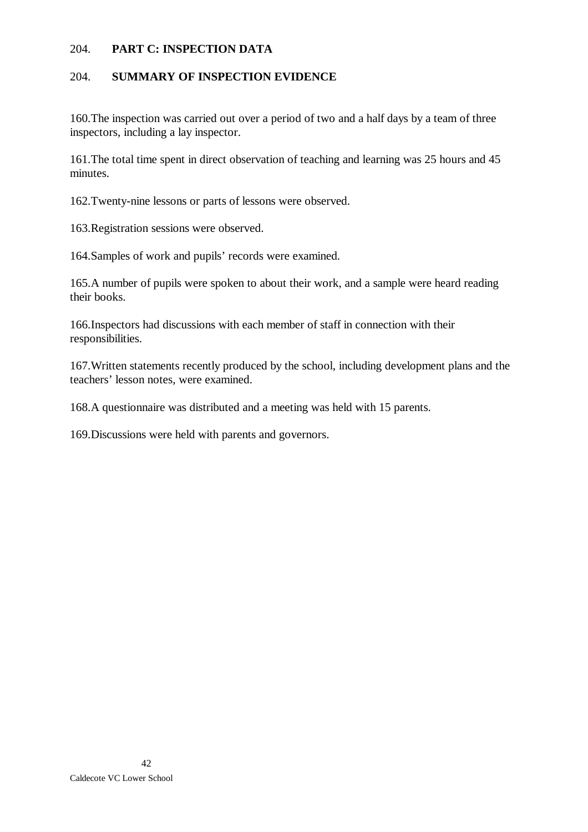#### 204. **PART C: INSPECTION DATA**

#### 204. **SUMMARY OF INSPECTION EVIDENCE**

160.The inspection was carried out over a period of two and a half days by a team of three inspectors, including a lay inspector.

161.The total time spent in direct observation of teaching and learning was 25 hours and 45 minutes.

162.Twenty-nine lessons or parts of lessons were observed.

163.Registration sessions were observed.

164.Samples of work and pupils' records were examined.

165.A number of pupils were spoken to about their work, and a sample were heard reading their books.

166.Inspectors had discussions with each member of staff in connection with their responsibilities.

167.Written statements recently produced by the school, including development plans and the teachers' lesson notes, were examined.

168.A questionnaire was distributed and a meeting was held with 15 parents.

169.Discussions were held with parents and governors.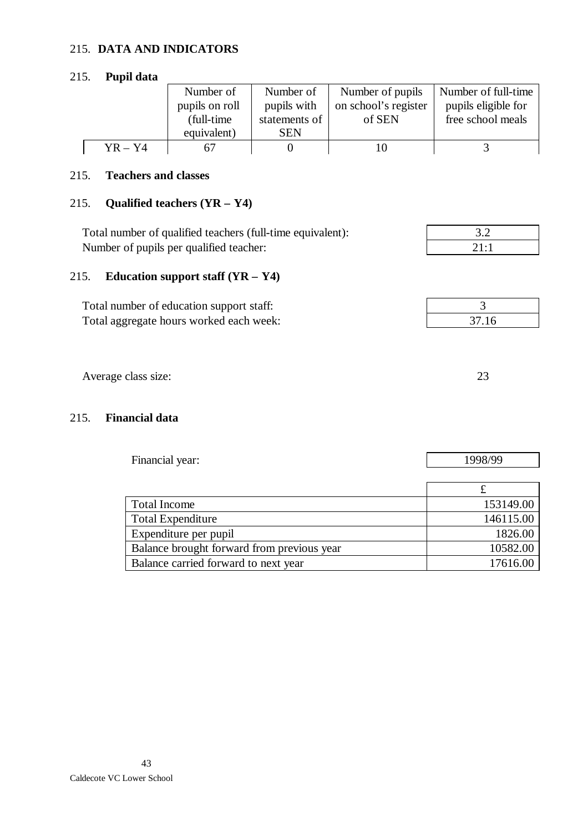#### 215. **DATA AND INDICATORS**

215. **Pupil data**

|           | Number of      | Number of     | Number of pupils     | Number of full-time |
|-----------|----------------|---------------|----------------------|---------------------|
|           | pupils on roll | pupils with   | on school's register | pupils eligible for |
|           | (full-time)    | statements of | of SEN               | free school meals   |
|           | equivalent)    | <b>SEN</b>    |                      |                     |
| $YR - Y4$ |                |               |                      |                     |

#### 215. **Teachers and classes**

# 215. **Qualified teachers (YR – Y4)**

| Total number of qualified teachers (full-time equivalent): |  |
|------------------------------------------------------------|--|
| Number of pupils per qualified teacher:                    |  |
|                                                            |  |

# 215. **Education support staff (YR – Y4)**

| Total number of education support staff: |       |
|------------------------------------------|-------|
| Total aggregate hours worked each week:  | 37.16 |

Average class size: 23

### 215. **Financial data**

| Financial year:                            | 1998/99   |  |
|--------------------------------------------|-----------|--|
|                                            |           |  |
|                                            | £         |  |
| <b>Total Income</b>                        | 153149.00 |  |
| <b>Total Expenditure</b>                   | 146115.00 |  |
| Expenditure per pupil                      | 1826.00   |  |
| Balance brought forward from previous year | 10582.00  |  |
| Balance carried forward to next year       | 17616.00  |  |